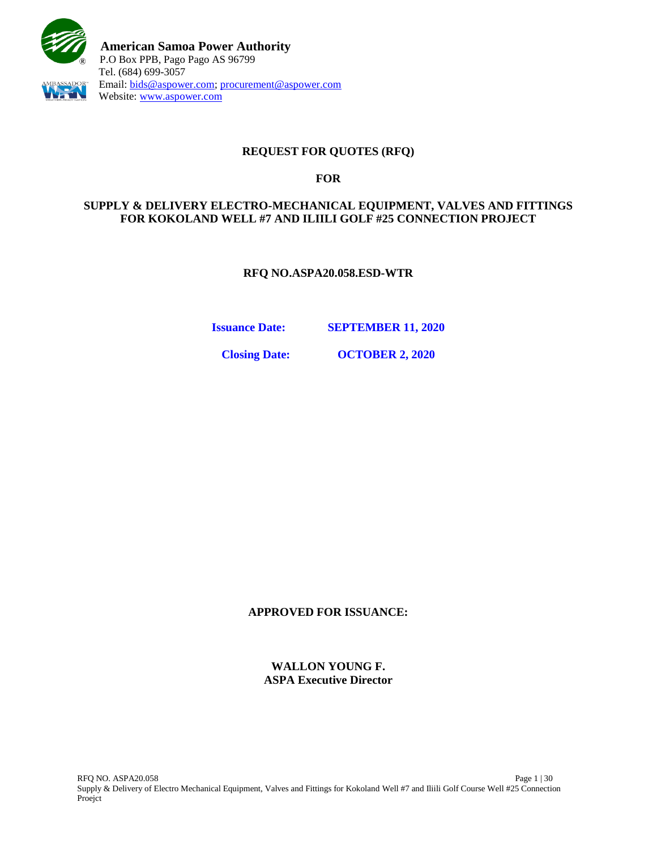

# **REQUEST FOR QUOTES (RFQ)**

## **FOR**

## **SUPPLY & DELIVERY ELECTRO-MECHANICAL EQUIPMENT, VALVES AND FITTINGS FOR KOKOLAND WELL #7 AND ILIILI GOLF #25 CONNECTION PROJECT**

**RFQ NO.ASPA20.058.ESD-WTR**

**Issuance Date: SEPTEMBER 11, 2020**

**Closing Date: OCTOBER 2, 2020**

**APPROVED FOR ISSUANCE:**

**WALLON YOUNG F. ASPA Executive Director**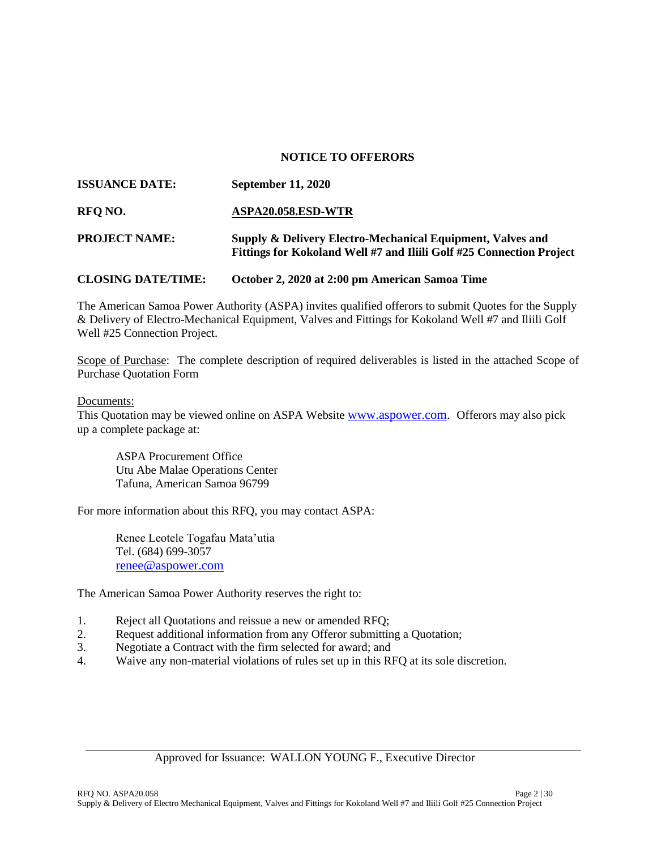### **NOTICE TO OFFERORS**

| <b>ISSUANCE DATE:</b>     | <b>September 11, 2020</b>                                                                                                          |
|---------------------------|------------------------------------------------------------------------------------------------------------------------------------|
| RFO NO.                   | ASPA20.058.ESD-WTR                                                                                                                 |
| <b>PROJECT NAME:</b>      | Supply & Delivery Electro-Mechanical Equipment, Valves and<br>Fittings for Kokoland Well #7 and Iliili Golf #25 Connection Project |
| <b>CLOSING DATE/TIME:</b> | October 2, 2020 at 2:00 pm American Samoa Time                                                                                     |

The American Samoa Power Authority (ASPA) invites qualified offerors to submit Quotes for the Supply & Delivery of Electro-Mechanical Equipment, Valves and Fittings for Kokoland Well #7 and Iliili Golf Well #25 Connection Project.

Scope of Purchase: The complete description of required deliverables is listed in the attached Scope of Purchase Quotation Form

#### Documents:

This Quotation may be viewed online on ASPA Website [www.aspower.com.](http://www.aspower.com/) Offerors may also pick up a complete package at:

ASPA Procurement Office Utu Abe Malae Operations Center Tafuna, American Samoa 96799

For more information about this RFQ, you may contact ASPA:

Renee Leotele Togafau Mata'utia Tel. (684) 699-3057 [renee@aspower.com](mailto:renee@aspower.com)

The American Samoa Power Authority reserves the right to:

- 1. Reject all Quotations and reissue a new or amended RFQ;
- 2. Request additional information from any Offeror submitting a Quotation;
- 3. Negotiate a Contract with the firm selected for award; and
- 4. Waive any non-material violations of rules set up in this RFQ at its sole discretion.

### Approved for Issuance: WALLON YOUNG F., Executive Director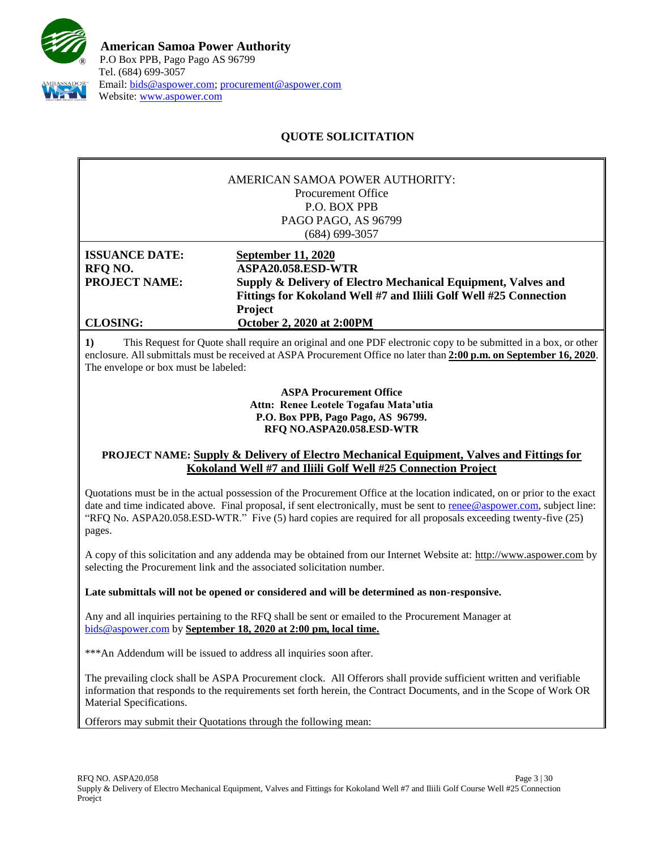

# **QUOTE SOLICITATION**

|                       | AMERICAN SAMOA POWER AUTHORITY:                                   |  |
|-----------------------|-------------------------------------------------------------------|--|
|                       | Procurement Office                                                |  |
|                       | P.O. BOX PPB                                                      |  |
|                       | PAGO PAGO, AS 96799                                               |  |
|                       | (684) 699-3057                                                    |  |
| <b>ISSUANCE DATE:</b> | <b>September 11, 2020</b>                                         |  |
| RFQ NO.               | ASPA20.058.ESD-WTR                                                |  |
| <b>PROJECT NAME:</b>  | Supply & Delivery of Electro Mechanical Equipment, Valves and     |  |
|                       | Fittings for Kokoland Well #7 and Iliili Golf Well #25 Connection |  |
|                       | Project                                                           |  |
| <b>CLOSING:</b>       | <b>October 2, 2020 at 2:00PM</b>                                  |  |

**1)** This Request for Quote shall require an original and one PDF electronic copy to be submitted in a box, or other enclosure. All submittals must be received at ASPA Procurement Office no later than **2:00 p.m. on September 16, 2020**. The envelope or box must be labeled:

> **ASPA Procurement Office Attn: Renee Leotele Togafau Mata'utia P.O. Box PPB, Pago Pago, AS 96799. RFQ NO.ASPA20.058.ESD-WTR**

## **PROJECT NAME: Supply & Delivery of Electro Mechanical Equipment, Valves and Fittings for Kokoland Well #7 and Iliili Golf Well #25 Connection Project**

Quotations must be in the actual possession of the Procurement Office at the location indicated, on or prior to the exact date and time indicated above. Final proposal, if sent electronically, must be sent to [renee@aspower.com,](mailto:renee@aspower.com) subject line: "RFQ No. ASPA20.058.ESD-WTR." Five (5) hard copies are required for all proposals exceeding twenty-five (25) pages.

A copy of this solicitation and any addenda may be obtained from our Internet Website at: [http://www.aspower.com](http://www.aspower.com/) by selecting the Procurement link and the associated solicitation number.

**Late submittals will not be opened or considered and will be determined as non-responsive.**

Any and all inquiries pertaining to the RFQ shall be sent or emailed to the Procurement Manager at [bids@aspower.com](mailto:bids@aspower.com) by **September 18, 2020 at 2:00 pm, local time.**

\*\*\*An Addendum will be issued to address all inquiries soon after.

The prevailing clock shall be ASPA Procurement clock. All Offerors shall provide sufficient written and verifiable information that responds to the requirements set forth herein, the Contract Documents, and in the Scope of Work OR Material Specifications.

**2)** Offerors may submit their Quotations through the following mean: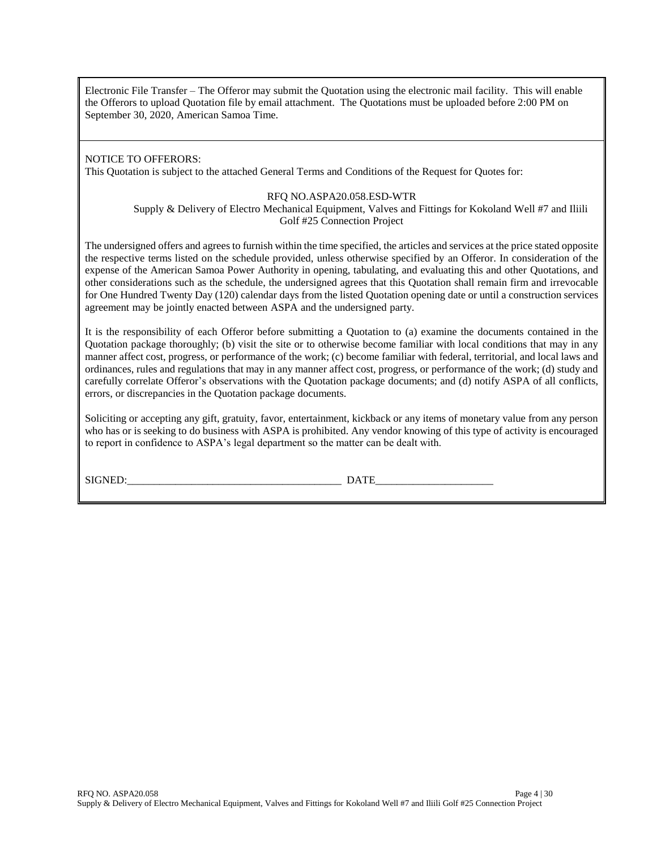Electronic File Transfer – The Offeror may submit the Quotation using the electronic mail facility. This will enable the Offerors to upload Quotation file by email attachment. The Quotations must be uploaded before 2:00 PM on September 30, 2020, American Samoa Time.

## NOTICE TO OFFERORS:

This Quotation is subject to the attached General Terms and Conditions of the Request for Quotes for:

#### RFQ NO.ASPA20.058.ESD-WTR

Supply & Delivery of Electro Mechanical Equipment, Valves and Fittings for Kokoland Well #7 and Iliili Golf #25 Connection Project

The undersigned offers and agrees to furnish within the time specified, the articles and services at the price stated opposite the respective terms listed on the schedule provided, unless otherwise specified by an Offeror. In consideration of the expense of the American Samoa Power Authority in opening, tabulating, and evaluating this and other Quotations, and other considerations such as the schedule, the undersigned agrees that this Quotation shall remain firm and irrevocable for One Hundred Twenty Day (120) calendar days from the listed Quotation opening date or until a construction services agreement may be jointly enacted between ASPA and the undersigned party.

It is the responsibility of each Offeror before submitting a Quotation to (a) examine the documents contained in the Quotation package thoroughly; (b) visit the site or to otherwise become familiar with local conditions that may in any manner affect cost, progress, or performance of the work; (c) become familiar with federal, territorial, and local laws and ordinances, rules and regulations that may in any manner affect cost, progress, or performance of the work; (d) study and carefully correlate Offeror's observations with the Quotation package documents; and (d) notify ASPA of all conflicts, errors, or discrepancies in the Quotation package documents.

Soliciting or accepting any gift, gratuity, favor, entertainment, kickback or any items of monetary value from any person who has or is seeking to do business with ASPA is prohibited. Any vendor knowing of this type of activity is encouraged to report in confidence to ASPA's legal department so the matter can be dealt with.

SIGNED:\_\_\_\_\_\_\_\_\_\_\_\_\_\_\_\_\_\_\_\_\_\_\_\_\_\_\_\_\_\_\_\_\_\_\_\_\_\_\_\_ DATE\_\_\_\_\_\_\_\_\_\_\_\_\_\_\_\_\_\_\_\_\_\_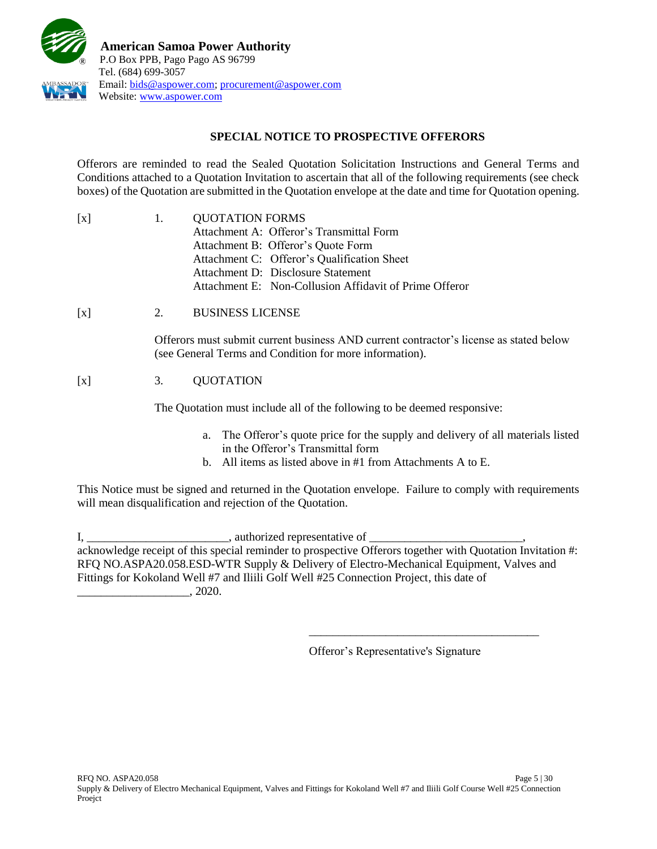

## **SPECIAL NOTICE TO PROSPECTIVE OFFERORS**

Offerors are reminded to read the Sealed Quotation Solicitation Instructions and General Terms and Conditions attached to a Quotation Invitation to ascertain that all of the following requirements (see check boxes) of the Quotation are submitted in the Quotation envelope at the date and time for Quotation opening.

| [x] | $\mathbf{1}$ . | <b>QUOTATION FORMS</b>                                 |  |
|-----|----------------|--------------------------------------------------------|--|
|     |                | Attachment A: Offeror's Transmittal Form               |  |
|     |                | Attachment B: Offeror's Quote Form                     |  |
|     |                | Attachment C: Offeror's Qualification Sheet            |  |
|     |                | Attachment D: Disclosure Statement                     |  |
|     |                | Attachment E: Non-Collusion Affidavit of Prime Offeror |  |

[x] 2. BUSINESS LICENSE

Offerors must submit current business AND current contractor's license as stated below (see General Terms and Condition for more information).

# [x] 3. QUOTATION

The Quotation must include all of the following to be deemed responsive:

- a. The Offeror's quote price for the supply and delivery of all materials listed in the Offeror's Transmittal form
- b. All items as listed above in #1 from Attachments A to E.

This Notice must be signed and returned in the Quotation envelope. Failure to comply with requirements will mean disqualification and rejection of the Quotation.

I, \_\_\_\_\_\_\_\_\_\_\_\_\_\_\_\_\_\_\_\_\_\_\_\_\_\_\_\_, authorized representative of \_\_\_\_\_\_\_\_\_\_\_\_\_\_\_\_\_\_ acknowledge receipt of this special reminder to prospective Offerors together with Quotation Invitation #: RFQ NO.ASPA20.058.ESD-WTR Supply & Delivery of Electro-Mechanical Equipment, Valves and Fittings for Kokoland Well #7 and Iliili Golf Well #25 Connection Project, this date of  $\ldots$  , 2020.

Offeror's Representative's Signature

\_\_\_\_\_\_\_\_\_\_\_\_\_\_\_\_\_\_\_\_\_\_\_\_\_\_\_\_\_\_\_\_\_\_\_\_\_\_\_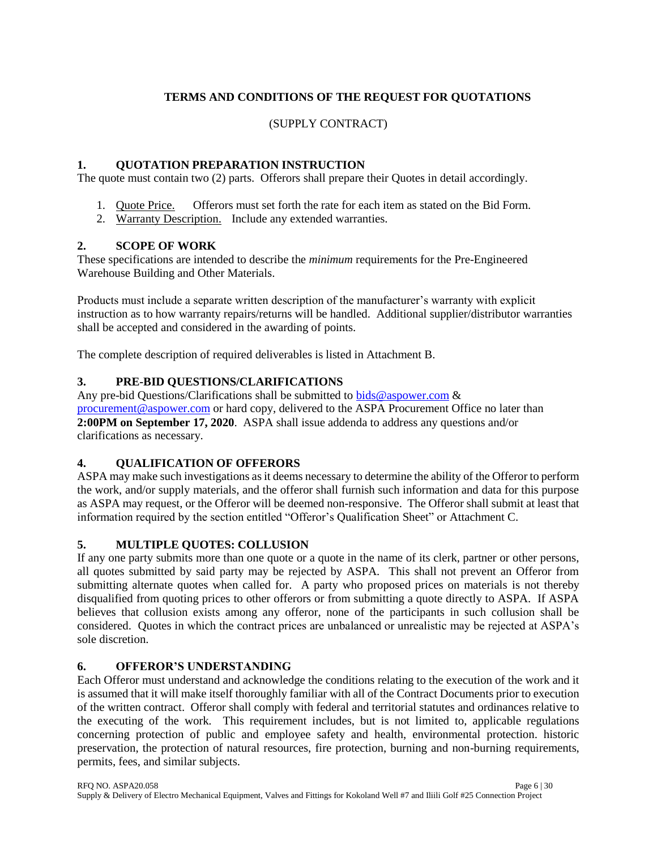# **TERMS AND CONDITIONS OF THE REQUEST FOR QUOTATIONS**

## (SUPPLY CONTRACT)

## **1. QUOTATION PREPARATION INSTRUCTION**

The quote must contain two (2) parts. Offerors shall prepare their Quotes in detail accordingly.

- 1. Quote Price. Offerors must set forth the rate for each item as stated on the Bid Form.
- 2. Warranty Description. Include any extended warranties.

## **2. SCOPE OF WORK**

These specifications are intended to describe the *minimum* requirements for the Pre-Engineered Warehouse Building and Other Materials.

Products must include a separate written description of the manufacturer's warranty with explicit instruction as to how warranty repairs/returns will be handled. Additional supplier/distributor warranties shall be accepted and considered in the awarding of points.

The complete description of required deliverables is listed in Attachment B.

## **3. PRE-BID QUESTIONS/CLARIFICATIONS**

Any pre-bid Questions/Clarifications shall be submitted to [bids@aspower.com](mailto:bids@aspower.com)  $\&$ [procurement@aspower.com](mailto:procurement@aspower.com) or hard copy, delivered to the ASPA Procurement Office no later than **2:00PM on September 17, 2020**. ASPA shall issue addenda to address any questions and/or clarifications as necessary.

### **4. QUALIFICATION OF OFFERORS**

ASPA may make such investigations as it deems necessary to determine the ability of the Offeror to perform the work, and/or supply materials, and the offeror shall furnish such information and data for this purpose as ASPA may request, or the Offeror will be deemed non-responsive. The Offeror shall submit at least that information required by the section entitled "Offeror's Qualification Sheet" or Attachment C.

## **5. MULTIPLE QUOTES: COLLUSION**

If any one party submits more than one quote or a quote in the name of its clerk, partner or other persons, all quotes submitted by said party may be rejected by ASPA. This shall not prevent an Offeror from submitting alternate quotes when called for. A party who proposed prices on materials is not thereby disqualified from quoting prices to other offerors or from submitting a quote directly to ASPA. If ASPA believes that collusion exists among any offeror, none of the participants in such collusion shall be considered. Quotes in which the contract prices are unbalanced or unrealistic may be rejected at ASPA's sole discretion.

## **6. OFFEROR'S UNDERSTANDING**

Each Offeror must understand and acknowledge the conditions relating to the execution of the work and it is assumed that it will make itself thoroughly familiar with all of the Contract Documents prior to execution of the written contract. Offeror shall comply with federal and territorial statutes and ordinances relative to the executing of the work. This requirement includes, but is not limited to, applicable regulations concerning protection of public and employee safety and health, environmental protection. historic preservation, the protection of natural resources, fire protection, burning and non-burning requirements, permits, fees, and similar subjects.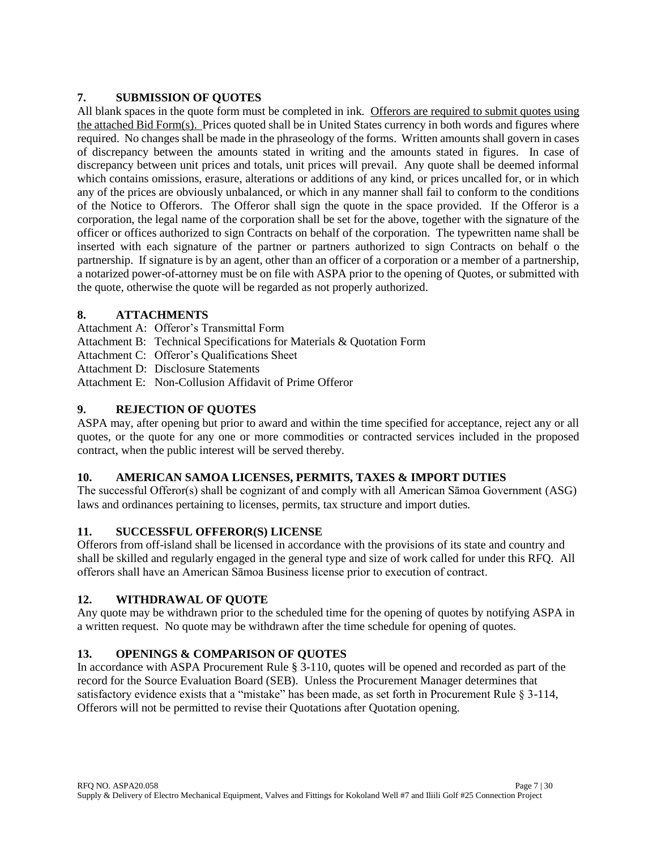## **7. SUBMISSION OF QUOTES**

All blank spaces in the quote form must be completed in ink. Offerors are required to submit quotes using the attached Bid Form(s). Prices quoted shall be in United States currency in both words and figures where required. No changes shall be made in the phraseology of the forms. Written amounts shall govern in cases of discrepancy between the amounts stated in writing and the amounts stated in figures. In case of discrepancy between unit prices and totals, unit prices will prevail. Any quote shall be deemed informal which contains omissions, erasure, alterations or additions of any kind, or prices uncalled for, or in which any of the prices are obviously unbalanced, or which in any manner shall fail to conform to the conditions of the Notice to Offerors. The Offeror shall sign the quote in the space provided. If the Offeror is a corporation, the legal name of the corporation shall be set for the above, together with the signature of the officer or offices authorized to sign Contracts on behalf of the corporation. The typewritten name shall be inserted with each signature of the partner or partners authorized to sign Contracts on behalf o the partnership. If signature is by an agent, other than an officer of a corporation or a member of a partnership, a notarized power-of-attorney must be on file with ASPA prior to the opening of Quotes, or submitted with the quote, otherwise the quote will be regarded as not properly authorized.

## **8. ATTACHMENTS**

- Attachment A: Offeror's Transmittal Form
- Attachment B: Technical Specifications for Materials & Quotation Form
- Attachment C: Offeror's Qualifications Sheet
- Attachment D: Disclosure Statements
- Attachment E: Non-Collusion Affidavit of Prime Offeror

## **9. REJECTION OF QUOTES**

ASPA may, after opening but prior to award and within the time specified for acceptance, reject any or all quotes, or the quote for any one or more commodities or contracted services included in the proposed contract, when the public interest will be served thereby.

## **10. AMERICAN SAMOA LICENSES, PERMITS, TAXES & IMPORT DUTIES**

The successful Offeror(s) shall be cognizant of and comply with all American Sāmoa Government (ASG) laws and ordinances pertaining to licenses, permits, tax structure and import duties.

## **11. SUCCESSFUL OFFEROR(S) LICENSE**

Offerors from off-island shall be licensed in accordance with the provisions of its state and country and shall be skilled and regularly engaged in the general type and size of work called for under this RFQ. All offerors shall have an American Sāmoa Business license prior to execution of contract.

## **12. WITHDRAWAL OF QUOTE**

Any quote may be withdrawn prior to the scheduled time for the opening of quotes by notifying ASPA in a written request. No quote may be withdrawn after the time schedule for opening of quotes.

## **13. OPENINGS & COMPARISON OF QUOTES**

In accordance with ASPA Procurement Rule § 3-110, quotes will be opened and recorded as part of the record for the Source Evaluation Board (SEB). Unless the Procurement Manager determines that satisfactory evidence exists that a "mistake" has been made, as set forth in Procurement Rule § 3-114, Offerors will not be permitted to revise their Quotations after Quotation opening.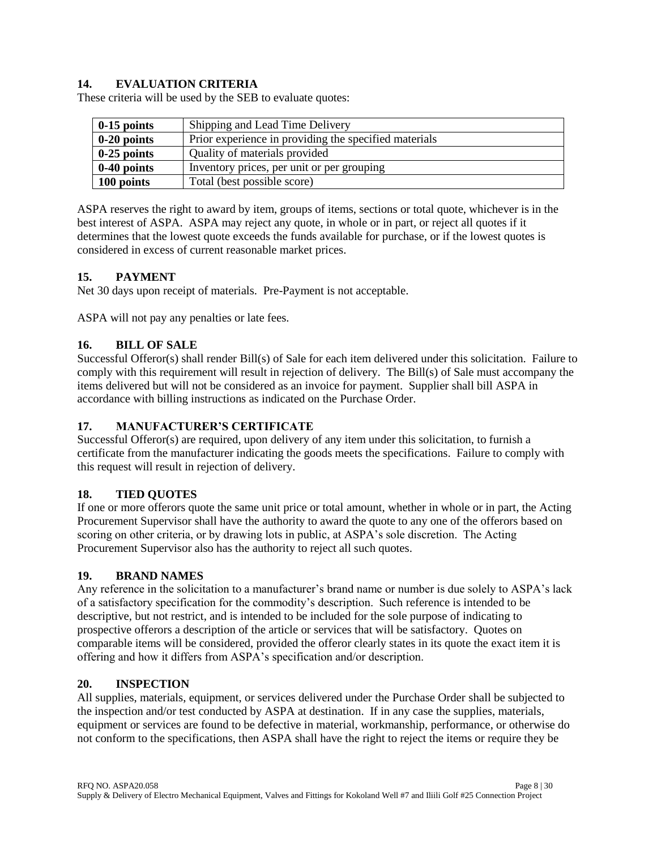## **14. EVALUATION CRITERIA**

These criteria will be used by the SEB to evaluate quotes:

| $0-15$ points | Shipping and Lead Time Delivery                       |
|---------------|-------------------------------------------------------|
| $0-20$ points | Prior experience in providing the specified materials |
| $0-25$ points | Quality of materials provided                         |
| $0-40$ points | Inventory prices, per unit or per grouping            |
| 100 points    | Total (best possible score)                           |

ASPA reserves the right to award by item, groups of items, sections or total quote, whichever is in the best interest of ASPA. ASPA may reject any quote, in whole or in part, or reject all quotes if it determines that the lowest quote exceeds the funds available for purchase, or if the lowest quotes is considered in excess of current reasonable market prices.

## **15. PAYMENT**

Net 30 days upon receipt of materials. Pre-Payment is not acceptable.

ASPA will not pay any penalties or late fees.

## **16. BILL OF SALE**

Successful Offeror(s) shall render Bill(s) of Sale for each item delivered under this solicitation. Failure to comply with this requirement will result in rejection of delivery. The Bill(s) of Sale must accompany the items delivered but will not be considered as an invoice for payment. Supplier shall bill ASPA in accordance with billing instructions as indicated on the Purchase Order.

### **17. MANUFACTURER'S CERTIFICATE**

Successful Offeror(s) are required, upon delivery of any item under this solicitation, to furnish a certificate from the manufacturer indicating the goods meets the specifications. Failure to comply with this request will result in rejection of delivery.

### **18. TIED QUOTES**

If one or more offerors quote the same unit price or total amount, whether in whole or in part, the Acting Procurement Supervisor shall have the authority to award the quote to any one of the offerors based on scoring on other criteria, or by drawing lots in public, at ASPA's sole discretion. The Acting Procurement Supervisor also has the authority to reject all such quotes.

### **19. BRAND NAMES**

Any reference in the solicitation to a manufacturer's brand name or number is due solely to ASPA's lack of a satisfactory specification for the commodity's description. Such reference is intended to be descriptive, but not restrict, and is intended to be included for the sole purpose of indicating to prospective offerors a description of the article or services that will be satisfactory. Quotes on comparable items will be considered, provided the offeror clearly states in its quote the exact item it is offering and how it differs from ASPA's specification and/or description.

### **20. INSPECTION**

All supplies, materials, equipment, or services delivered under the Purchase Order shall be subjected to the inspection and/or test conducted by ASPA at destination. If in any case the supplies, materials, equipment or services are found to be defective in material, workmanship, performance, or otherwise do not conform to the specifications, then ASPA shall have the right to reject the items or require they be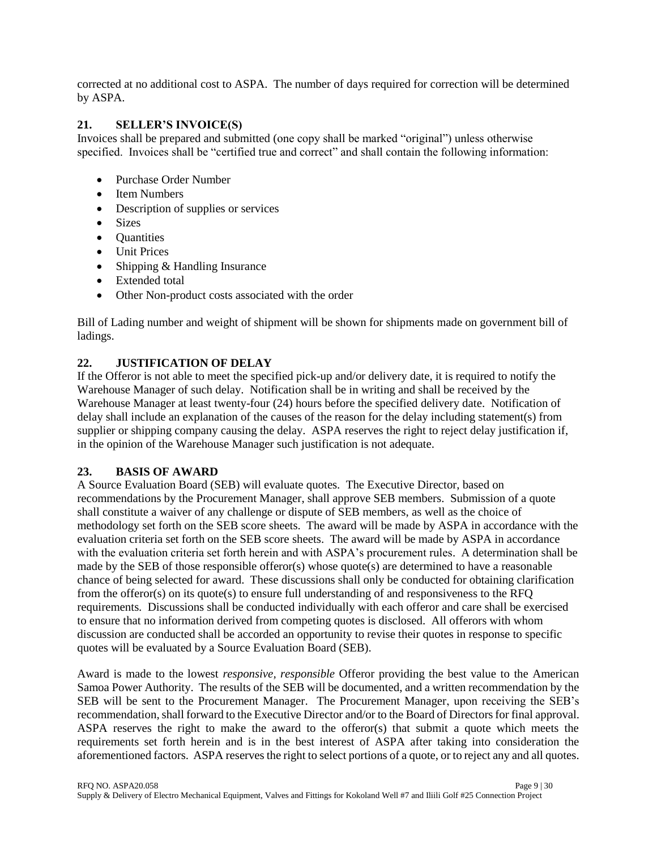corrected at no additional cost to ASPA. The number of days required for correction will be determined by ASPA.

## **21. SELLER'S INVOICE(S)**

Invoices shall be prepared and submitted (one copy shall be marked "original") unless otherwise specified. Invoices shall be "certified true and correct" and shall contain the following information:

- Purchase Order Number
- Item Numbers
- Description of supplies or services
- Sizes
- Ouantities
- Unit Prices
- Shipping & Handling Insurance
- Extended total
- Other Non-product costs associated with the order

Bill of Lading number and weight of shipment will be shown for shipments made on government bill of ladings.

## **22. JUSTIFICATION OF DELAY**

If the Offeror is not able to meet the specified pick-up and/or delivery date, it is required to notify the Warehouse Manager of such delay. Notification shall be in writing and shall be received by the Warehouse Manager at least twenty-four (24) hours before the specified delivery date. Notification of delay shall include an explanation of the causes of the reason for the delay including statement(s) from supplier or shipping company causing the delay. ASPA reserves the right to reject delay justification if, in the opinion of the Warehouse Manager such justification is not adequate.

### **23. BASIS OF AWARD**

A Source Evaluation Board (SEB) will evaluate quotes. The Executive Director, based on recommendations by the Procurement Manager, shall approve SEB members. Submission of a quote shall constitute a waiver of any challenge or dispute of SEB members, as well as the choice of methodology set forth on the SEB score sheets. The award will be made by ASPA in accordance with the evaluation criteria set forth on the SEB score sheets. The award will be made by ASPA in accordance with the evaluation criteria set forth herein and with ASPA's procurement rules. A determination shall be made by the SEB of those responsible offeror(s) whose quote(s) are determined to have a reasonable chance of being selected for award. These discussions shall only be conducted for obtaining clarification from the offeror(s) on its quote(s) to ensure full understanding of and responsiveness to the RFQ requirements. Discussions shall be conducted individually with each offeror and care shall be exercised to ensure that no information derived from competing quotes is disclosed. All offerors with whom discussion are conducted shall be accorded an opportunity to revise their quotes in response to specific quotes will be evaluated by a Source Evaluation Board (SEB).

Award is made to the lowest *responsive, responsible* Offeror providing the best value to the American Samoa Power Authority. The results of the SEB will be documented, and a written recommendation by the SEB will be sent to the Procurement Manager. The Procurement Manager, upon receiving the SEB's recommendation, shall forward to the Executive Director and/or to the Board of Directors for final approval. ASPA reserves the right to make the award to the offeror(s) that submit a quote which meets the requirements set forth herein and is in the best interest of ASPA after taking into consideration the aforementioned factors. ASPA reserves the right to select portions of a quote, or to reject any and all quotes.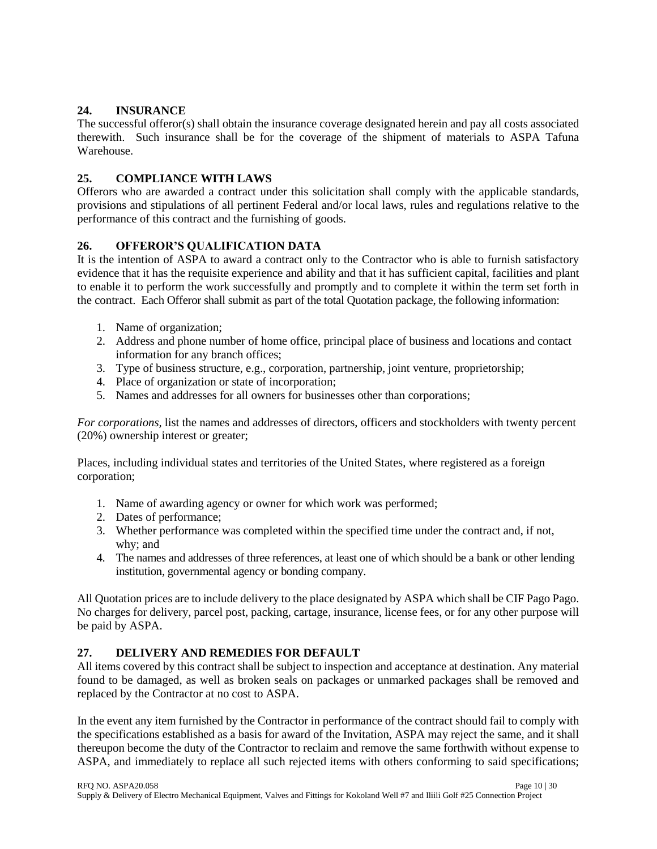## **24. INSURANCE**

The successful offeror(s) shall obtain the insurance coverage designated herein and pay all costs associated therewith. Such insurance shall be for the coverage of the shipment of materials to ASPA Tafuna Warehouse.

## **25. COMPLIANCE WITH LAWS**

Offerors who are awarded a contract under this solicitation shall comply with the applicable standards, provisions and stipulations of all pertinent Federal and/or local laws, rules and regulations relative to the performance of this contract and the furnishing of goods.

# **26. OFFEROR'S QUALIFICATION DATA**

It is the intention of ASPA to award a contract only to the Contractor who is able to furnish satisfactory evidence that it has the requisite experience and ability and that it has sufficient capital, facilities and plant to enable it to perform the work successfully and promptly and to complete it within the term set forth in the contract. Each Offeror shall submit as part of the total Quotation package, the following information:

- 1. Name of organization;
- 2. Address and phone number of home office, principal place of business and locations and contact information for any branch offices;
- 3. Type of business structure, e.g., corporation, partnership, joint venture, proprietorship;
- 4. Place of organization or state of incorporation;
- 5. Names and addresses for all owners for businesses other than corporations;

*For corporations,* list the names and addresses of directors, officers and stockholders with twenty percent (20%) ownership interest or greater;

Places, including individual states and territories of the United States, where registered as a foreign corporation;

- 1. Name of awarding agency or owner for which work was performed;
- 2. Dates of performance;
- 3. Whether performance was completed within the specified time under the contract and, if not, why; and
- 4. The names and addresses of three references, at least one of which should be a bank or other lending institution, governmental agency or bonding company.

All Quotation prices are to include delivery to the place designated by ASPA which shall be CIF Pago Pago. No charges for delivery, parcel post, packing, cartage, insurance, license fees, or for any other purpose will be paid by ASPA.

# **27. DELIVERY AND REMEDIES FOR DEFAULT**

All items covered by this contract shall be subject to inspection and acceptance at destination. Any material found to be damaged, as well as broken seals on packages or unmarked packages shall be removed and replaced by the Contractor at no cost to ASPA.

In the event any item furnished by the Contractor in performance of the contract should fail to comply with the specifications established as a basis for award of the Invitation, ASPA may reject the same, and it shall thereupon become the duty of the Contractor to reclaim and remove the same forthwith without expense to ASPA, and immediately to replace all such rejected items with others conforming to said specifications;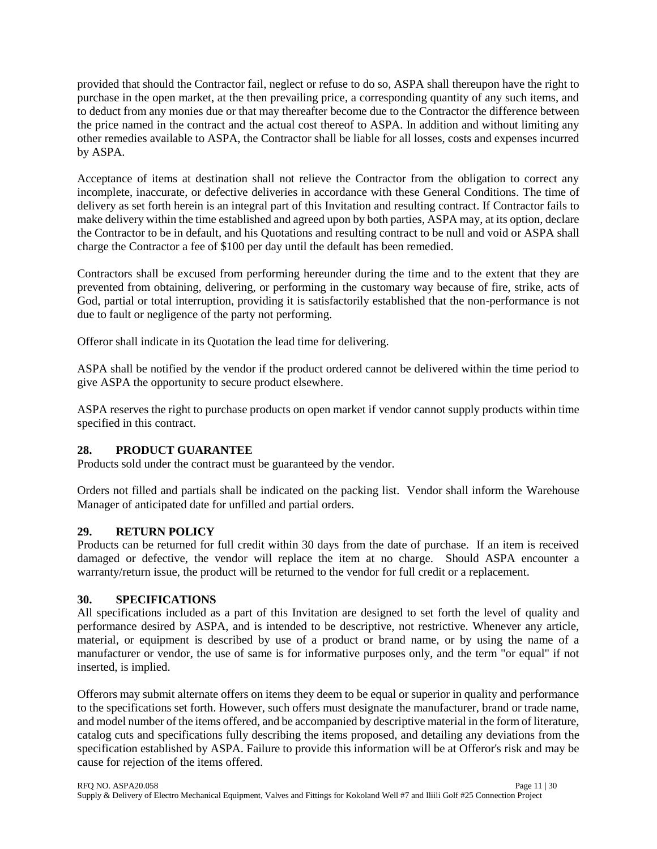provided that should the Contractor fail, neglect or refuse to do so, ASPA shall thereupon have the right to purchase in the open market, at the then prevailing price, a corresponding quantity of any such items, and to deduct from any monies due or that may thereafter become due to the Contractor the difference between the price named in the contract and the actual cost thereof to ASPA. In addition and without limiting any other remedies available to ASPA, the Contractor shall be liable for all losses, costs and expenses incurred by ASPA.

Acceptance of items at destination shall not relieve the Contractor from the obligation to correct any incomplete, inaccurate, or defective deliveries in accordance with these General Conditions. The time of delivery as set forth herein is an integral part of this Invitation and resulting contract. If Contractor fails to make delivery within the time established and agreed upon by both parties, ASPA may, at its option, declare the Contractor to be in default, and his Quotations and resulting contract to be null and void or ASPA shall charge the Contractor a fee of \$100 per day until the default has been remedied.

Contractors shall be excused from performing hereunder during the time and to the extent that they are prevented from obtaining, delivering, or performing in the customary way because of fire, strike, acts of God, partial or total interruption, providing it is satisfactorily established that the non-performance is not due to fault or negligence of the party not performing.

Offeror shall indicate in its Quotation the lead time for delivering.

ASPA shall be notified by the vendor if the product ordered cannot be delivered within the time period to give ASPA the opportunity to secure product elsewhere.

ASPA reserves the right to purchase products on open market if vendor cannot supply products within time specified in this contract.

### **28. PRODUCT GUARANTEE**

Products sold under the contract must be guaranteed by the vendor.

Orders not filled and partials shall be indicated on the packing list. Vendor shall inform the Warehouse Manager of anticipated date for unfilled and partial orders.

### **29. RETURN POLICY**

Products can be returned for full credit within 30 days from the date of purchase. If an item is received damaged or defective, the vendor will replace the item at no charge. Should ASPA encounter a warranty/return issue, the product will be returned to the vendor for full credit or a replacement.

### **30. SPECIFICATIONS**

All specifications included as a part of this Invitation are designed to set forth the level of quality and performance desired by ASPA, and is intended to be descriptive, not restrictive. Whenever any article, material, or equipment is described by use of a product or brand name, or by using the name of a manufacturer or vendor, the use of same is for informative purposes only, and the term "or equal" if not inserted, is implied.

Offerors may submit alternate offers on items they deem to be equal or superior in quality and performance to the specifications set forth. However, such offers must designate the manufacturer, brand or trade name, and model number of the items offered, and be accompanied by descriptive material in the form of literature, catalog cuts and specifications fully describing the items proposed, and detailing any deviations from the specification established by ASPA. Failure to provide this information will be at Offeror's risk and may be cause for rejection of the items offered.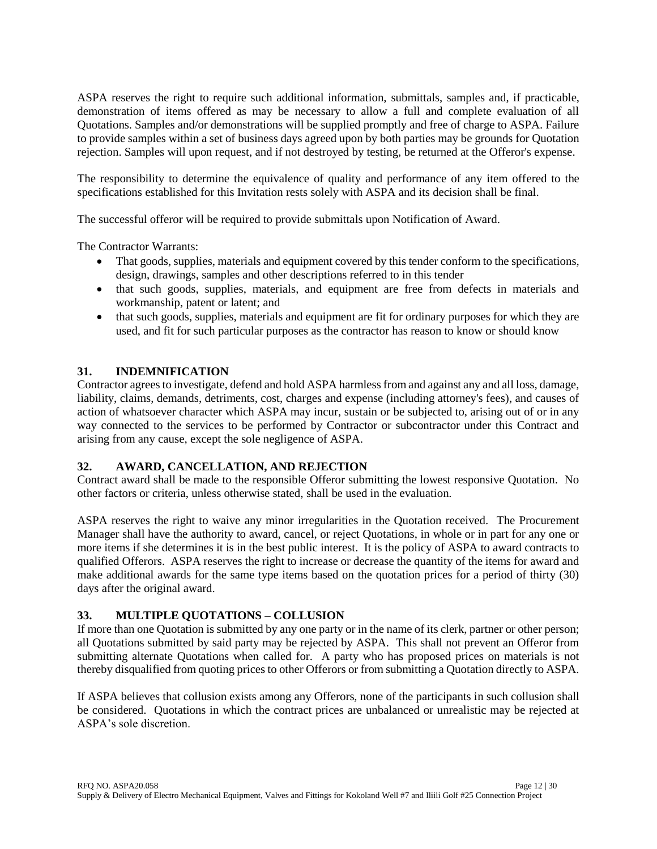ASPA reserves the right to require such additional information, submittals, samples and, if practicable, demonstration of items offered as may be necessary to allow a full and complete evaluation of all Quotations. Samples and/or demonstrations will be supplied promptly and free of charge to ASPA. Failure to provide samples within a set of business days agreed upon by both parties may be grounds for Quotation rejection. Samples will upon request, and if not destroyed by testing, be returned at the Offeror's expense.

The responsibility to determine the equivalence of quality and performance of any item offered to the specifications established for this Invitation rests solely with ASPA and its decision shall be final.

The successful offeror will be required to provide submittals upon Notification of Award.

The Contractor Warrants:

- That goods, supplies, materials and equipment covered by this tender conform to the specifications, design, drawings, samples and other descriptions referred to in this tender
- that such goods, supplies, materials, and equipment are free from defects in materials and workmanship, patent or latent; and
- that such goods, supplies, materials and equipment are fit for ordinary purposes for which they are used, and fit for such particular purposes as the contractor has reason to know or should know

## **31. INDEMNIFICATION**

Contractor agrees to investigate, defend and hold ASPA harmless from and against any and all loss, damage, liability, claims, demands, detriments, cost, charges and expense (including attorney's fees), and causes of action of whatsoever character which ASPA may incur, sustain or be subjected to, arising out of or in any way connected to the services to be performed by Contractor or subcontractor under this Contract and arising from any cause, except the sole negligence of ASPA.

### **32. AWARD, CANCELLATION, AND REJECTION**

Contract award shall be made to the responsible Offeror submitting the lowest responsive Quotation. No other factors or criteria, unless otherwise stated, shall be used in the evaluation.

ASPA reserves the right to waive any minor irregularities in the Quotation received. The Procurement Manager shall have the authority to award, cancel, or reject Quotations, in whole or in part for any one or more items if she determines it is in the best public interest. It is the policy of ASPA to award contracts to qualified Offerors. ASPA reserves the right to increase or decrease the quantity of the items for award and make additional awards for the same type items based on the quotation prices for a period of thirty (30) days after the original award.

### **33. MULTIPLE QUOTATIONS – COLLUSION**

If more than one Quotation is submitted by any one party or in the name of its clerk, partner or other person; all Quotations submitted by said party may be rejected by ASPA. This shall not prevent an Offeror from submitting alternate Quotations when called for. A party who has proposed prices on materials is not thereby disqualified from quoting prices to other Offerors or from submitting a Quotation directly to ASPA.

If ASPA believes that collusion exists among any Offerors, none of the participants in such collusion shall be considered. Quotations in which the contract prices are unbalanced or unrealistic may be rejected at ASPA's sole discretion.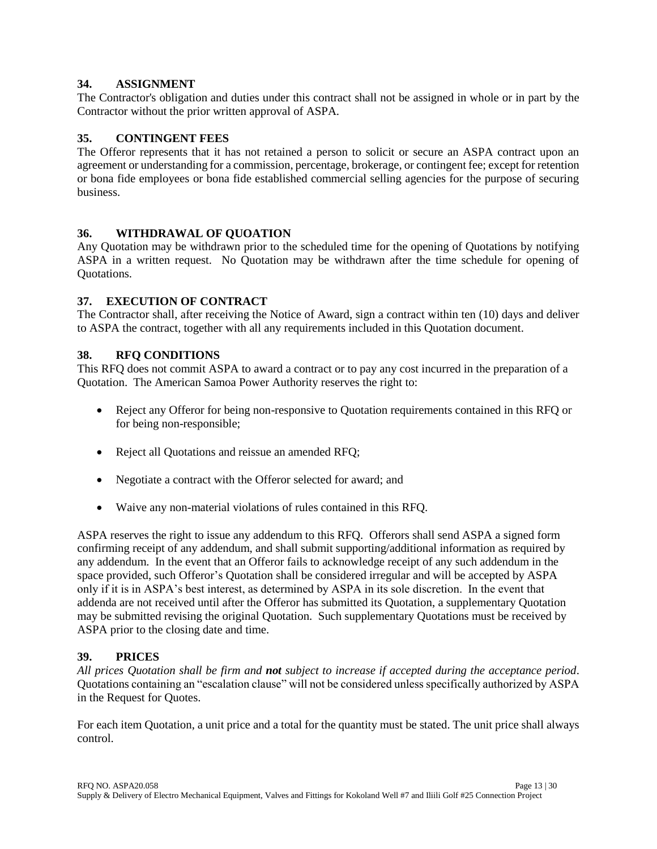### **34. ASSIGNMENT**

The Contractor's obligation and duties under this contract shall not be assigned in whole or in part by the Contractor without the prior written approval of ASPA.

## **35. CONTINGENT FEES**

The Offeror represents that it has not retained a person to solicit or secure an ASPA contract upon an agreement or understanding for a commission, percentage, brokerage, or contingent fee; except for retention or bona fide employees or bona fide established commercial selling agencies for the purpose of securing business.

## **36. WITHDRAWAL OF QUOATION**

Any Quotation may be withdrawn prior to the scheduled time for the opening of Quotations by notifying ASPA in a written request. No Quotation may be withdrawn after the time schedule for opening of Quotations.

## **37. EXECUTION OF CONTRACT**

The Contractor shall, after receiving the Notice of Award, sign a contract within ten (10) days and deliver to ASPA the contract, together with all any requirements included in this Quotation document.

## **38. RFQ CONDITIONS**

This RFQ does not commit ASPA to award a contract or to pay any cost incurred in the preparation of a Quotation. The American Samoa Power Authority reserves the right to:

- Reject any Offeror for being non-responsive to Quotation requirements contained in this RFQ or for being non-responsible;
- Reject all Quotations and reissue an amended RFQ;
- Negotiate a contract with the Offeror selected for award; and
- Waive any non-material violations of rules contained in this RFQ.

ASPA reserves the right to issue any addendum to this RFQ. Offerors shall send ASPA a signed form confirming receipt of any addendum, and shall submit supporting/additional information as required by any addendum. In the event that an Offeror fails to acknowledge receipt of any such addendum in the space provided, such Offeror's Quotation shall be considered irregular and will be accepted by ASPA only if it is in ASPA's best interest, as determined by ASPA in its sole discretion. In the event that addenda are not received until after the Offeror has submitted its Quotation, a supplementary Quotation may be submitted revising the original Quotation. Such supplementary Quotations must be received by ASPA prior to the closing date and time.

### **39. PRICES**

*All prices Quotation shall be firm and not subject to increase if accepted during the acceptance period*. Quotations containing an "escalation clause" will not be considered unless specifically authorized by ASPA in the Request for Quotes.

For each item Quotation, a unit price and a total for the quantity must be stated. The unit price shall always control.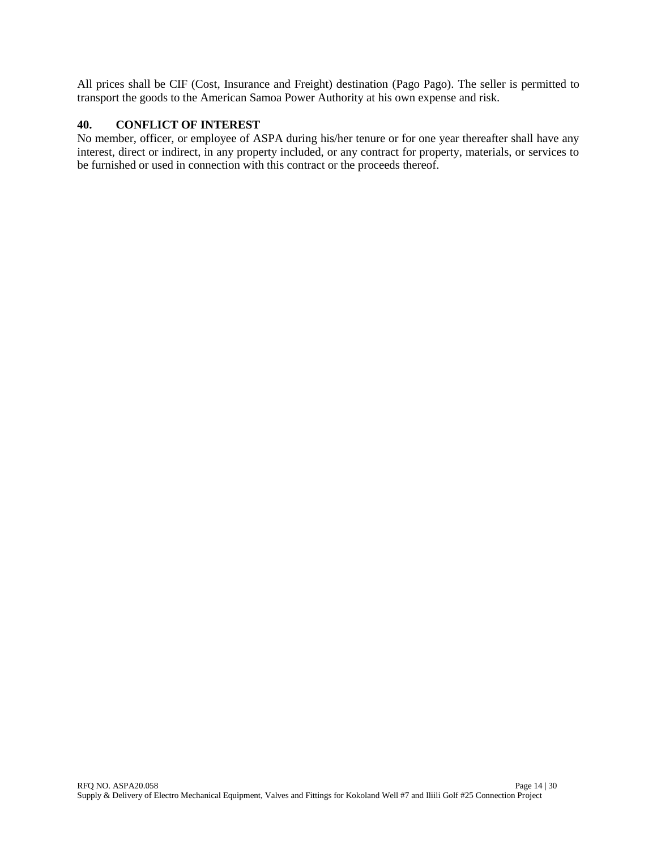All prices shall be CIF (Cost, Insurance and Freight) destination (Pago Pago). The seller is permitted to transport the goods to the American Samoa Power Authority at his own expense and risk.

#### **40. CONFLICT OF INTEREST**

No member, officer, or employee of ASPA during his/her tenure or for one year thereafter shall have any interest, direct or indirect, in any property included, or any contract for property, materials, or services to be furnished or used in connection with this contract or the proceeds thereof.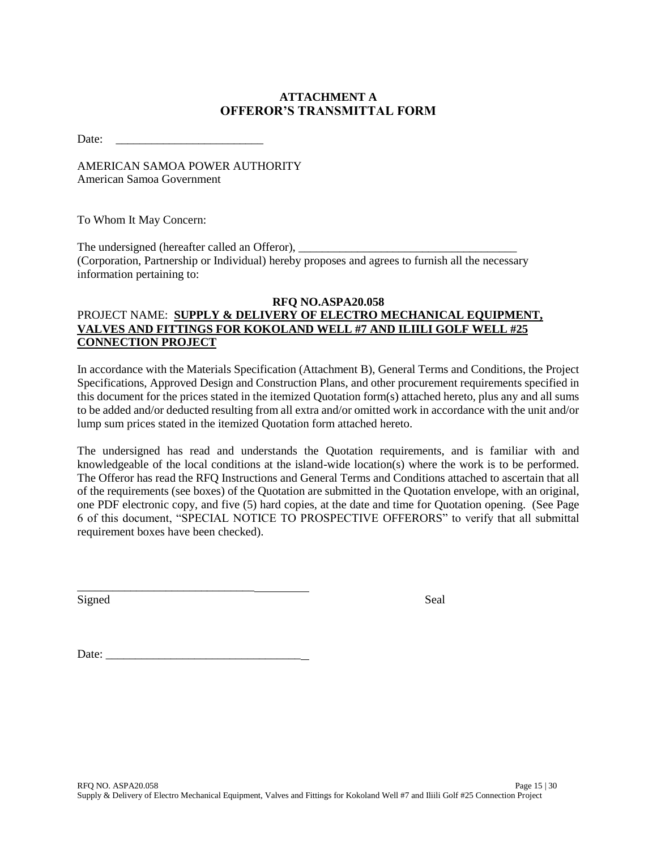# **ATTACHMENT A OFFEROR'S TRANSMITTAL FORM**

Date: \_\_\_\_\_\_\_\_\_\_\_\_\_\_\_\_\_\_\_\_\_\_\_\_\_

AMERICAN SAMOA POWER AUTHORITY American Samoa Government

To Whom It May Concern:

The undersigned (hereafter called an Offeror), (Corporation, Partnership or Individual) hereby proposes and agrees to furnish all the necessary information pertaining to:

## **RFQ NO.ASPA20.058** PROJECT NAME: **SUPPLY & DELIVERY OF ELECTRO MECHANICAL EQUIPMENT, VALVES AND FITTINGS FOR KOKOLAND WELL #7 AND ILIILI GOLF WELL #25 CONNECTION PROJECT**

In accordance with the Materials Specification (Attachment B), General Terms and Conditions, the Project Specifications, Approved Design and Construction Plans, and other procurement requirements specified in this document for the prices stated in the itemized Quotation form(s) attached hereto, plus any and all sums to be added and/or deducted resulting from all extra and/or omitted work in accordance with the unit and/or lump sum prices stated in the itemized Quotation form attached hereto.

The undersigned has read and understands the Quotation requirements, and is familiar with and knowledgeable of the local conditions at the island-wide location(s) where the work is to be performed. The Offeror has read the RFQ Instructions and General Terms and Conditions attached to ascertain that all of the requirements (see boxes) of the Quotation are submitted in the Quotation envelope, with an original, one PDF electronic copy, and five (5) hard copies, at the date and time for Quotation opening. (See Page 6 of this document, "SPECIAL NOTICE TO PROSPECTIVE OFFERORS" to verify that all submittal requirement boxes have been checked).

Signed Seal

Date:

\_\_\_\_\_\_\_\_\_\_\_\_\_\_\_\_\_\_\_\_\_\_\_\_\_\_\_\_\_\_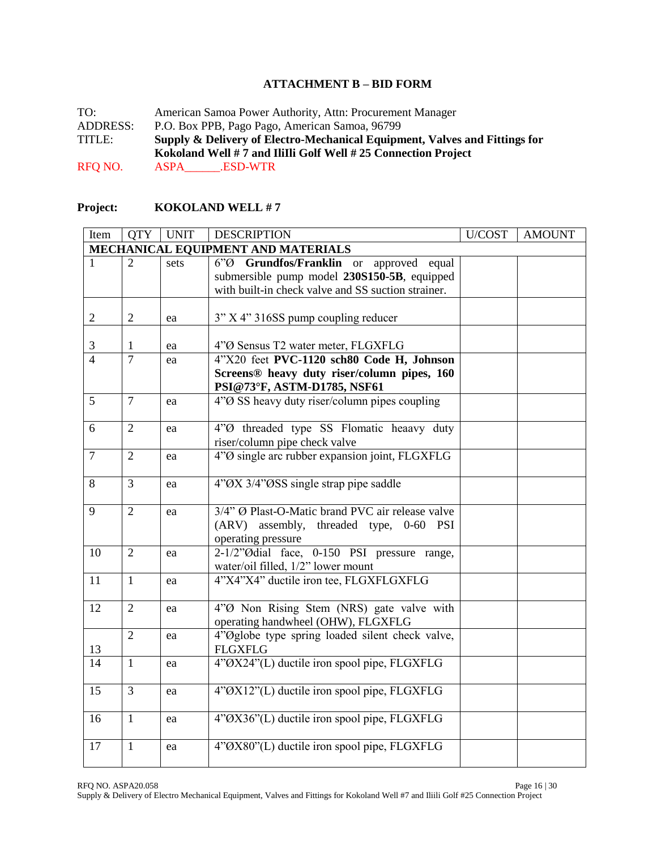### **ATTACHMENT B – BID FORM**

TO: American Samoa Power Authority, Attn: Procurement Manager<br>ADDRESS: P.O. Box PPB, Pago Pago, American Samoa, 96799 P.O. Box PPB, Pago Pago, American Samoa, 96799 TITLE: **Supply & Delivery of Electro-Mechanical Equipment, Valves and Fittings for Kokoland Well # 7 and IliIli Golf Well # 25 Connection Project** RFQ NO. ASPA\_\_\_\_\_\_.ESD-WTR

### **Project: KOKOLAND WELL # 7**

| Item                     | <b>QTY</b>                         | <b>UNIT</b> | <b>DESCRIPTION</b>                                      | U/COST | <b>AMOUNT</b> |  |  |
|--------------------------|------------------------------------|-------------|---------------------------------------------------------|--------|---------------|--|--|
|                          | MECHANICAL EQUIPMENT AND MATERIALS |             |                                                         |        |               |  |  |
| 1                        | $\overline{2}$                     | sets        | Grundfos/Franklin or<br>$6°\emptyset$<br>approved equal |        |               |  |  |
|                          |                                    |             | submersible pump model 230S150-5B, equipped             |        |               |  |  |
|                          |                                    |             | with built-in check valve and SS suction strainer.      |        |               |  |  |
|                          |                                    |             |                                                         |        |               |  |  |
| $\overline{2}$           | $\mathfrak{2}$                     | ea          | 3" X 4" 316SS pump coupling reducer                     |        |               |  |  |
|                          |                                    |             |                                                         |        |               |  |  |
| 3                        | 1                                  | ea          | 4"Ø Sensus T2 water meter, FLGXFLG                      |        |               |  |  |
| $\overline{\mathcal{A}}$ | $\overline{7}$                     | ea          | 4"X20 feet PVC-1120 sch80 Code H, Johnson               |        |               |  |  |
|                          |                                    |             | Screens® heavy duty riser/column pipes, 160             |        |               |  |  |
|                          |                                    |             | PSI@73°F, ASTM-D1785, NSF61                             |        |               |  |  |
| 5                        | $\overline{7}$                     | ea          | 4"Ø SS heavy duty riser/column pipes coupling           |        |               |  |  |
| 6                        |                                    |             |                                                         |        |               |  |  |
|                          | $\mathfrak{2}$                     | ea          | 4"Ø threaded type SS Flomatic heaavy duty               |        |               |  |  |
| $\overline{7}$           | $\overline{2}$                     |             | riser/column pipe check valve                           |        |               |  |  |
|                          |                                    | ea          | 4"Ø single arc rubber expansion joint, FLGXFLG          |        |               |  |  |
| 8                        | $\overline{3}$                     | ea          | 4"OX 3/4"OSS single strap pipe saddle                   |        |               |  |  |
|                          |                                    |             |                                                         |        |               |  |  |
| 9                        | $\overline{2}$                     | ea          | 3/4" Ø Plast-O-Matic brand PVC air release valve        |        |               |  |  |
|                          |                                    |             | (ARV) assembly, threaded type, 0-60<br>PSI              |        |               |  |  |
|                          |                                    |             | operating pressure                                      |        |               |  |  |
| 10                       | $\overline{2}$                     | ea          | 2-1/2"Ødial face, 0-150 PSI pressure range,             |        |               |  |  |
|                          |                                    |             | water/oil filled, 1/2" lower mount                      |        |               |  |  |
| 11                       | $\mathbf{1}$                       | ea          | 4"X4"X4" ductile iron tee, FLGXFLGXFLG                  |        |               |  |  |
|                          |                                    |             |                                                         |        |               |  |  |
| 12                       | $\overline{2}$                     | ea          | 4"Ø Non Rising Stem (NRS) gate valve with               |        |               |  |  |
|                          |                                    |             | operating handwheel (OHW), FLGXFLG                      |        |               |  |  |
|                          | $\overline{2}$                     | ea          | 4"Øglobe type spring loaded silent check valve,         |        |               |  |  |
| 13                       |                                    |             | <b>FLGXFLG</b>                                          |        |               |  |  |
| 14                       | $\mathbf{1}$                       | ea          | 4"ØX24"(L) ductile iron spool pipe, FLGXFLG             |        |               |  |  |
| 15                       | 3                                  | ea          | 4"ØX12"(L) ductile iron spool pipe, FLGXFLG             |        |               |  |  |
|                          |                                    |             |                                                         |        |               |  |  |
| 16                       | $\mathbf{1}$                       | ea          | 4"0X36"(L) ductile iron spool pipe, FLGXFLG             |        |               |  |  |
|                          |                                    |             |                                                         |        |               |  |  |
| 17                       | $\mathbf{1}$                       | ea          | 4"ØX80"(L) ductile iron spool pipe, FLGXFLG             |        |               |  |  |
|                          |                                    |             |                                                         |        |               |  |  |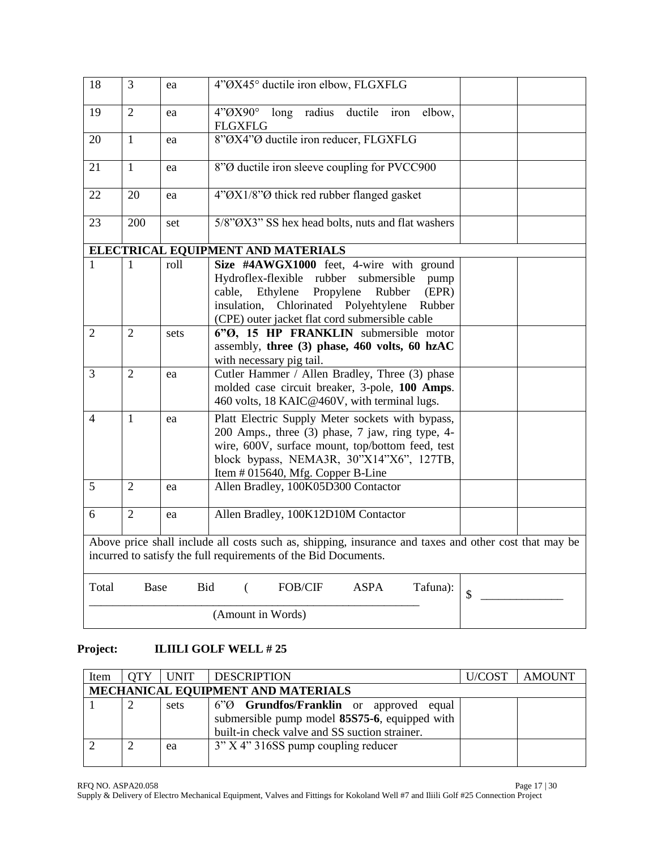| 18                       | 3                                                                                                                                                                        | ea                | 4"ØX45° ductile iron elbow, FLGXFLG                                                                                                                                                                                                              |  |  |  |
|--------------------------|--------------------------------------------------------------------------------------------------------------------------------------------------------------------------|-------------------|--------------------------------------------------------------------------------------------------------------------------------------------------------------------------------------------------------------------------------------------------|--|--|--|
| 19                       | $\overline{2}$                                                                                                                                                           | ea                | long radius ductile<br>4"ØX90°<br>elbow,<br>iron<br><b>FLGXFLG</b>                                                                                                                                                                               |  |  |  |
| 20                       | $\mathbf{1}$                                                                                                                                                             | ea                | 8"ØX4"Ø ductile iron reducer, FLGXFLG                                                                                                                                                                                                            |  |  |  |
| 21                       | $\mathbf{1}$                                                                                                                                                             | ea                | 8" <sup>O</sup> ductile iron sleeve coupling for PVCC900                                                                                                                                                                                         |  |  |  |
| 22                       | 20                                                                                                                                                                       | ea                | 4"ØX1/8"Ø thick red rubber flanged gasket                                                                                                                                                                                                        |  |  |  |
| 23                       | 200                                                                                                                                                                      | set               | 5/8"OX3" SS hex head bolts, nuts and flat washers                                                                                                                                                                                                |  |  |  |
|                          |                                                                                                                                                                          |                   | ELECTRICAL EQUIPMENT AND MATERIALS                                                                                                                                                                                                               |  |  |  |
| 1                        | 1                                                                                                                                                                        | roll              | Size #4AWGX1000 feet, 4-wire with ground<br>Hydroflex-flexible rubber submersible<br>pump<br>cable, Ethylene<br>Propylene<br>Rubber<br>(EPR)<br>insulation, Chlorinated Polyehtylene<br>Rubber<br>(CPE) outer jacket flat cord submersible cable |  |  |  |
| $\overline{2}$           | $\overline{2}$                                                                                                                                                           | sets              | 6"Ø, 15 HP FRANKLIN submersible motor<br>assembly, three (3) phase, 460 volts, 60 hzAC<br>with necessary pig tail.                                                                                                                               |  |  |  |
| 3                        | $\overline{2}$                                                                                                                                                           | ea                | Cutler Hammer / Allen Bradley, Three (3) phase<br>molded case circuit breaker, 3-pole, 100 Amps.<br>460 volts, 18 KAIC@460V, with terminal lugs.                                                                                                 |  |  |  |
| $\overline{\mathcal{L}}$ | 1                                                                                                                                                                        | ea                | Platt Electric Supply Meter sockets with bypass,<br>200 Amps., three (3) phase, 7 jaw, ring type, 4-<br>wire, 600V, surface mount, top/bottom feed, test<br>block bypass, NEMA3R, 30"X14"X6", 127TB,<br>Item # 015640, Mfg. Copper B-Line        |  |  |  |
| 5                        | $\overline{2}$                                                                                                                                                           | ea                | Allen Bradley, 100K05D300 Contactor                                                                                                                                                                                                              |  |  |  |
| 6                        | $\overline{2}$                                                                                                                                                           | ea                | Allen Bradley, 100K12D10M Contactor                                                                                                                                                                                                              |  |  |  |
|                          | Above price shall include all costs such as, shipping, insurance and taxes and other cost that may be<br>incurred to satisfy the full requirements of the Bid Documents. |                   |                                                                                                                                                                                                                                                  |  |  |  |
| Total                    | Base                                                                                                                                                                     | <b>Bid</b>        | <b>ASPA</b><br>FOB/CIF<br>Tafuna):<br>€<br>\$                                                                                                                                                                                                    |  |  |  |
|                          |                                                                                                                                                                          | (Amount in Words) |                                                                                                                                                                                                                                                  |  |  |  |

# **Project: ILIILI GOLF WELL # 25**

| Item | <b>OTY</b>                         | UNIT | <b>DESCRIPTION</b>                                  | U/COST_ | <b>AMOUNT</b> |  |
|------|------------------------------------|------|-----------------------------------------------------|---------|---------------|--|
|      | MECHANICAL EQUIPMENT AND MATERIALS |      |                                                     |         |               |  |
|      |                                    | sets | 6" <sup>O</sup> Grundfos/Franklin or approved equal |         |               |  |
|      |                                    |      | submersible pump model 85S75-6, equipped with       |         |               |  |
|      |                                    |      | built-in check valve and SS suction strainer.       |         |               |  |
|      |                                    | ea   | $3''$ X 4" 316SS pump coupling reducer              |         |               |  |
|      |                                    |      |                                                     |         |               |  |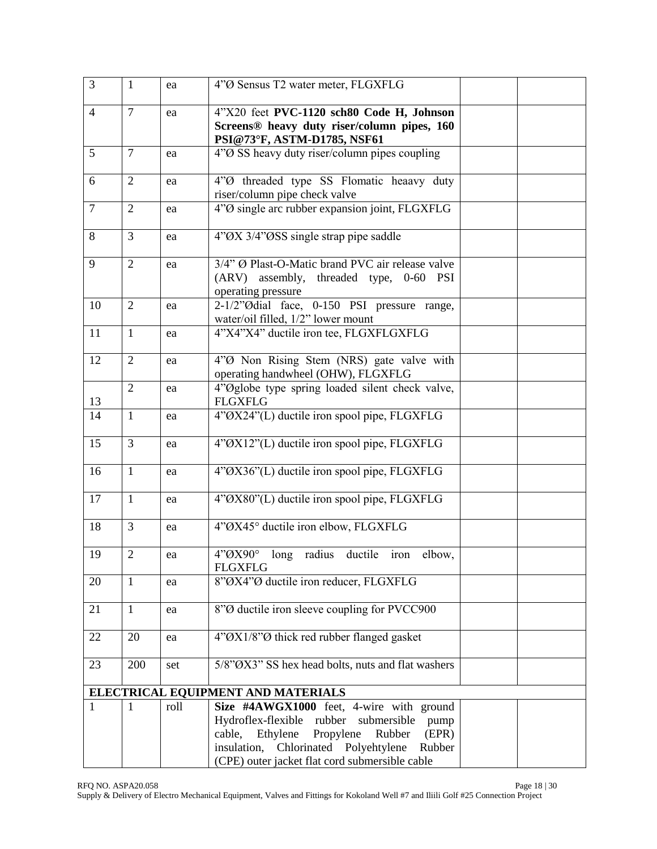| 3              | $\mathbf{1}$   | ea   | 4"Ø Sensus T2 water meter, FLGXFLG                                                                                          |  |
|----------------|----------------|------|-----------------------------------------------------------------------------------------------------------------------------|--|
| $\overline{4}$ | $\overline{7}$ | ea   | 4"X20 feet PVC-1120 sch80 Code H, Johnson<br>Screens® heavy duty riser/column pipes, 160<br>PSI@73°F, ASTM-D1785, NSF61     |  |
| 5              | $\overline{7}$ | ea   | 4"Ø SS heavy duty riser/column pipes coupling                                                                               |  |
| 6              | $\mathfrak{2}$ | ea   | 4"Ø threaded type SS Flomatic heaavy duty<br>riser/column pipe check valve                                                  |  |
| $\overline{7}$ | $\overline{2}$ | ea   | 4"O single arc rubber expansion joint, FLGXFLG                                                                              |  |
| 8              | $\overline{3}$ | ea   | 4"ØX 3/4"ØSS single strap pipe saddle                                                                                       |  |
| 9              | $\overline{2}$ | ea   | 3/4" Ø Plast-O-Matic brand PVC air release valve<br>(ARV) assembly, threaded type, 0-60<br><b>PSI</b><br>operating pressure |  |
| 10             | $\overline{2}$ | ea   | 2-1/2"Odial face, 0-150 PSI pressure range,<br>water/oil filled, 1/2" lower mount                                           |  |
| 11             | $\mathbf{1}$   | ea   | 4"X4"X4" ductile iron tee, FLGXFLGXFLG                                                                                      |  |
| 12             | $\overline{2}$ | ea   | 4"Ø Non Rising Stem (NRS) gate valve with<br>operating handwheel (OHW), FLGXFLG                                             |  |
| 13             | $\overline{2}$ | ea   | 4"Øglobe type spring loaded silent check valve,<br><b>FLGXFLG</b>                                                           |  |
| 14             | $\mathbf{1}$   | ea   | 4"ØX24"(L) ductile iron spool pipe, FLGXFLG                                                                                 |  |
| 15             | $\overline{3}$ | ea   | 4"ØX12"(L) ductile iron spool pipe, FLGXFLG                                                                                 |  |
| 16             | $\mathbf{1}$   | ea   | 4"ØX36"(L) ductile iron spool pipe, FLGXFLG                                                                                 |  |
| 17             | $\mathbf{1}$   | ea   | 4"ØX80"(L) ductile iron spool pipe, FLGXFLG                                                                                 |  |
| 18             | 3              | ea   | 4"ØX45° ductile iron elbow, FLGXFLG                                                                                         |  |
| 19             | $\mathfrak{2}$ | ea   | 4"QX90°<br>long radius ductile iron elbow,<br><b>FLGXFLG</b>                                                                |  |
| 20             | $\mathbf{1}$   | ea   | 8"ØX4"Ø ductile iron reducer, FLGXFLG                                                                                       |  |
| 21             | $\mathbf{1}$   | ea   | 8"Ø ductile iron sleeve coupling for PVCC900                                                                                |  |
| 22             | 20             | ea   | 4"ØX1/8"Ø thick red rubber flanged gasket                                                                                   |  |
| 23             | 200            | set  | 5/8"OX3" SS hex head bolts, nuts and flat washers                                                                           |  |
|                |                |      | ELECTRICAL EQUIPMENT AND MATERIALS                                                                                          |  |
|                | 1              | roll | Size #4AWGX1000 feet, 4-wire with ground                                                                                    |  |
|                |                |      | Hydroflex-flexible rubber submersible<br>pump                                                                               |  |
|                |                |      | cable, Ethylene<br>Propylene<br>Rubber<br>(EPR)                                                                             |  |
|                |                |      | insulation, Chlorinated Polyehtylene<br>Rubber                                                                              |  |
|                |                |      | (CPE) outer jacket flat cord submersible cable                                                                              |  |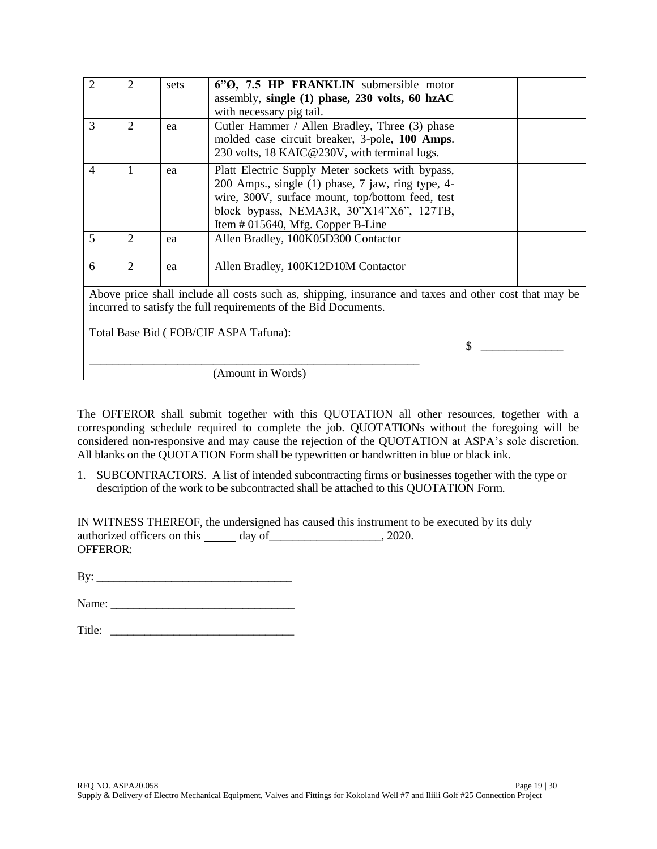| $\overline{2}$ | 2              | sets | 6"O, 7.5 HP FRANKLIN submersible motor                                                                |  |
|----------------|----------------|------|-------------------------------------------------------------------------------------------------------|--|
|                |                |      | assembly, single $(1)$ phase, 230 volts, 60 hzAC                                                      |  |
|                |                |      | with necessary pig tail.                                                                              |  |
| 3              | $\overline{2}$ | ea   | Cutler Hammer / Allen Bradley, Three (3) phase                                                        |  |
|                |                |      | molded case circuit breaker, 3-pole, 100 Amps.                                                        |  |
|                |                |      | 230 volts, 18 KAIC@230V, with terminal lugs.                                                          |  |
| $\overline{4}$ | 1              | ea   | Platt Electric Supply Meter sockets with bypass,                                                      |  |
|                |                |      | 200 Amps., single (1) phase, 7 jaw, ring type, 4-                                                     |  |
|                |                |      | wire, 300V, surface mount, top/bottom feed, test                                                      |  |
|                |                |      | block bypass, NEMA3R, 30"X14"X6", 127TB,                                                              |  |
|                |                |      | Item $#015640$ , Mfg. Copper B-Line                                                                   |  |
| 5              | $\overline{2}$ | ea   | Allen Bradley, 100K05D300 Contactor                                                                   |  |
|                |                |      |                                                                                                       |  |
| 6              | $\overline{2}$ | ea   | Allen Bradley, 100K12D10M Contactor                                                                   |  |
|                |                |      |                                                                                                       |  |
|                |                |      | Above price shall include all costs such as, shipping, insurance and taxes and other cost that may be |  |
|                |                |      | incurred to satisfy the full requirements of the Bid Documents.                                       |  |
|                |                |      |                                                                                                       |  |
|                |                |      | Total Base Bid (FOB/CIF ASPA Tafuna):                                                                 |  |
|                |                | \$   |                                                                                                       |  |
|                |                |      |                                                                                                       |  |
|                |                |      | (Amount in Words)                                                                                     |  |

The OFFEROR shall submit together with this QUOTATION all other resources, together with a corresponding schedule required to complete the job. QUOTATIONs without the foregoing will be considered non-responsive and may cause the rejection of the QUOTATION at ASPA's sole discretion. All blanks on the QUOTATION Form shall be typewritten or handwritten in blue or black ink.

1. SUBCONTRACTORS. A list of intended subcontracting firms or businesses together with the type or description of the work to be subcontracted shall be attached to this QUOTATION Form.

IN WITNESS THEREOF, the undersigned has caused this instrument to be executed by its duly authorized officers on this day of \_\_\_\_\_\_\_\_\_\_\_\_\_\_\_\_, 2020. OFFEROR:

By: \_\_\_\_\_\_\_\_\_\_\_\_\_\_\_\_\_\_\_\_\_\_\_\_\_\_\_\_\_\_\_\_\_\_

Name: \_\_\_\_\_\_\_\_\_\_\_\_\_\_\_\_\_\_\_\_\_\_\_\_\_\_\_\_\_\_\_\_

| Title:<br>. |  |  |  |
|-------------|--|--|--|
|             |  |  |  |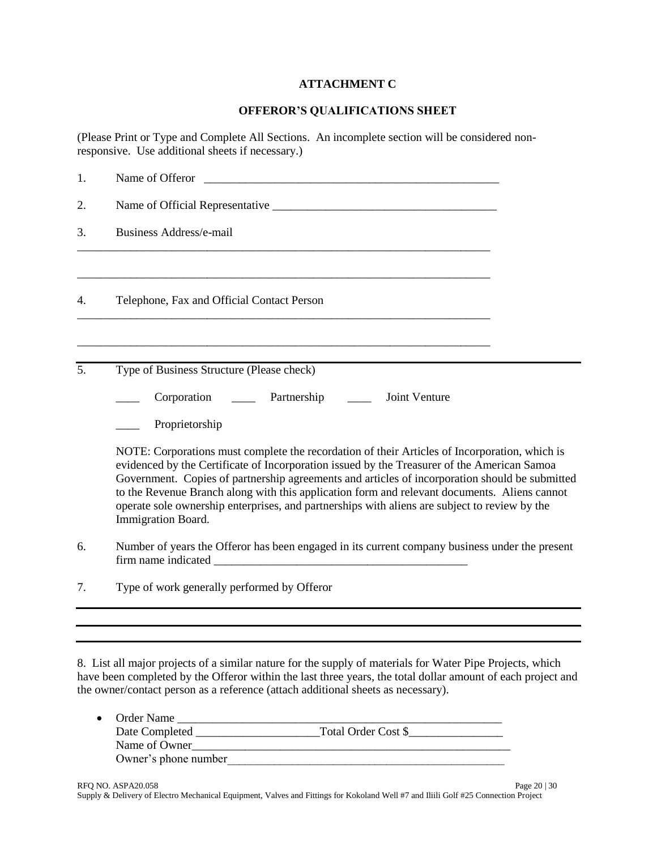### **ATTACHMENT C**

### **OFFEROR'S QUALIFICATIONS SHEET**

(Please Print or Type and Complete All Sections. An incomplete section will be considered nonresponsive. Use additional sheets if necessary.)

| 1. | Name of Offeror                                                                                                                                                                                                                                                                                                                                                                                                                                                                                                       |  |
|----|-----------------------------------------------------------------------------------------------------------------------------------------------------------------------------------------------------------------------------------------------------------------------------------------------------------------------------------------------------------------------------------------------------------------------------------------------------------------------------------------------------------------------|--|
| 2. |                                                                                                                                                                                                                                                                                                                                                                                                                                                                                                                       |  |
| 3. | <b>Business Address/e-mail</b>                                                                                                                                                                                                                                                                                                                                                                                                                                                                                        |  |
| 4. | <u> 1989 - Jan James James James James James James James James James James James James James James James James J</u><br>Telephone, Fax and Official Contact Person                                                                                                                                                                                                                                                                                                                                                    |  |
| 5. | Type of Business Structure (Please check)                                                                                                                                                                                                                                                                                                                                                                                                                                                                             |  |
|    | Joint Venture<br>Corporation _______ Partnership                                                                                                                                                                                                                                                                                                                                                                                                                                                                      |  |
|    | Proprietorship                                                                                                                                                                                                                                                                                                                                                                                                                                                                                                        |  |
|    | NOTE: Corporations must complete the recordation of their Articles of Incorporation, which is<br>evidenced by the Certificate of Incorporation issued by the Treasurer of the American Samoa<br>Government. Copies of partnership agreements and articles of incorporation should be submitted<br>to the Revenue Branch along with this application form and relevant documents. Aliens cannot<br>operate sole ownership enterprises, and partnerships with aliens are subject to review by the<br>Immigration Board. |  |
| 6. | Number of years the Offeror has been engaged in its current company business under the present                                                                                                                                                                                                                                                                                                                                                                                                                        |  |
| 7. | Type of work generally performed by Offeror                                                                                                                                                                                                                                                                                                                                                                                                                                                                           |  |
|    |                                                                                                                                                                                                                                                                                                                                                                                                                                                                                                                       |  |

8. List all major projects of a similar nature for the supply of materials for Water Pipe Projects, which have been completed by the Offeror within the last three years, the total dollar amount of each project and the owner/contact person as a reference (attach additional sheets as necessary).

| $\bullet$ | Order Name           |                     |  |
|-----------|----------------------|---------------------|--|
|           | Date Completed       | Total Order Cost \$ |  |
|           | Name of Owner        |                     |  |
|           | Owner's phone number |                     |  |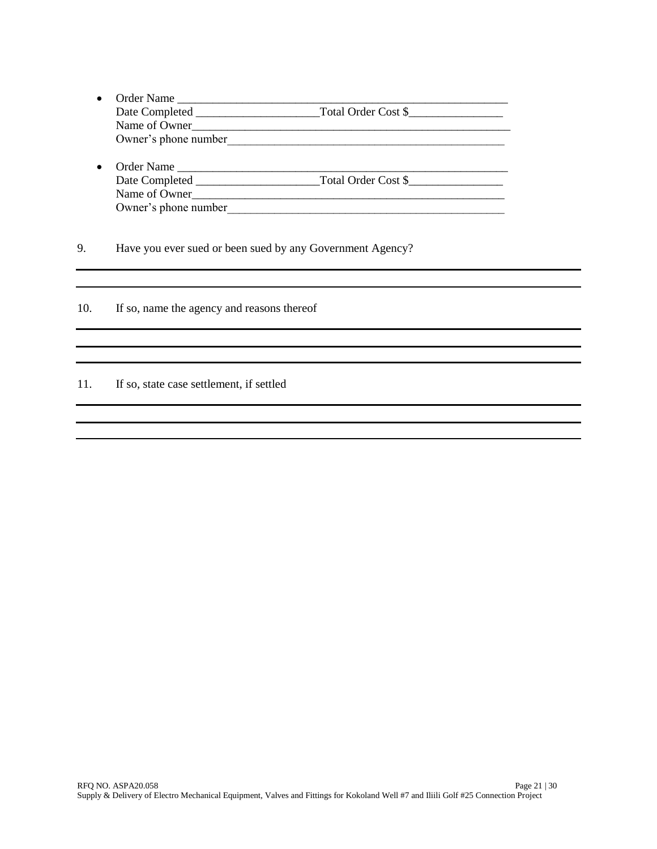- Order Name \_\_\_\_\_\_\_\_\_\_\_\_\_\_\_\_\_\_\_\_\_\_\_\_\_\_\_\_\_\_\_\_\_\_\_\_\_\_\_\_\_\_\_\_\_\_\_\_\_\_\_\_\_\_\_\_ Date Completed \_\_\_\_\_\_\_\_\_\_\_\_\_\_\_\_\_\_\_\_\_Total Order Cost \$\_\_\_\_\_\_\_\_\_\_\_\_\_\_\_\_ Name of Owner\_\_\_\_\_\_\_\_\_\_\_\_\_\_\_\_\_\_\_\_\_\_\_\_\_\_\_\_\_\_\_\_\_\_\_\_\_\_\_\_\_\_\_\_\_\_\_\_\_\_\_\_\_\_ Owner's phone number
- Order Name \_\_\_\_\_\_\_\_\_\_\_\_\_\_\_\_\_\_\_\_\_\_\_\_\_\_\_\_\_\_\_\_\_\_\_\_\_\_\_\_\_\_\_\_\_\_\_\_\_\_\_\_\_\_\_\_ Date Completed \_\_\_\_\_\_\_\_\_\_\_\_\_\_\_\_\_\_\_\_\_Total Order Cost \$\_\_\_\_\_\_\_\_\_\_\_\_\_\_\_\_ Name of Owner\_\_\_\_\_\_\_\_\_\_\_\_\_\_\_\_\_\_\_\_\_\_\_\_\_\_\_\_\_\_\_\_\_\_\_\_\_\_\_\_\_\_\_\_\_\_\_\_\_\_\_\_\_ Owner's phone number

9. Have you ever sued or been sued by any Government Agency?

10. If so, name the agency and reasons thereof

11. If so, state case settlement, if settled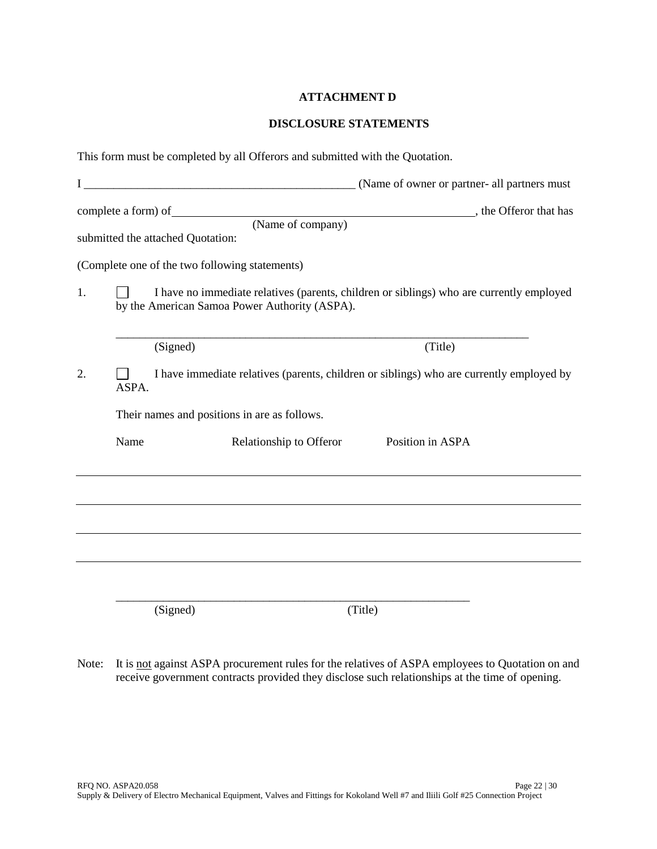### **ATTACHMENT D**

### **DISCLOSURE STATEMENTS**

| This form must be completed by all Offerors and submitted with the Quotation.                           |                                              |                                                                                                                                           |         |                  |  |  |
|---------------------------------------------------------------------------------------------------------|----------------------------------------------|-------------------------------------------------------------------------------------------------------------------------------------------|---------|------------------|--|--|
|                                                                                                         |                                              |                                                                                                                                           |         |                  |  |  |
|                                                                                                         | submitted the attached Quotation:            |                                                                                                                                           |         |                  |  |  |
|                                                                                                         |                                              | (Complete one of the two following statements)                                                                                            |         |                  |  |  |
| 1.                                                                                                      |                                              | I have no immediate relatives (parents, children or siblings) who are currently employed<br>by the American Samoa Power Authority (ASPA). |         |                  |  |  |
|                                                                                                         | (Signed)                                     |                                                                                                                                           |         | (Title)          |  |  |
| 2.<br>I have immediate relatives (parents, children or siblings) who are currently employed by<br>ASPA. |                                              |                                                                                                                                           |         |                  |  |  |
|                                                                                                         | Their names and positions in are as follows. |                                                                                                                                           |         |                  |  |  |
|                                                                                                         | Name                                         | Relationship to Offeror                                                                                                                   |         | Position in ASPA |  |  |
|                                                                                                         |                                              |                                                                                                                                           |         |                  |  |  |
|                                                                                                         |                                              |                                                                                                                                           |         |                  |  |  |
|                                                                                                         |                                              |                                                                                                                                           |         |                  |  |  |
|                                                                                                         |                                              |                                                                                                                                           |         |                  |  |  |
|                                                                                                         | (Signed)                                     |                                                                                                                                           | (Title) |                  |  |  |

Note: It is not against ASPA procurement rules for the relatives of ASPA employees to Quotation on and receive government contracts provided they disclose such relationships at the time of opening.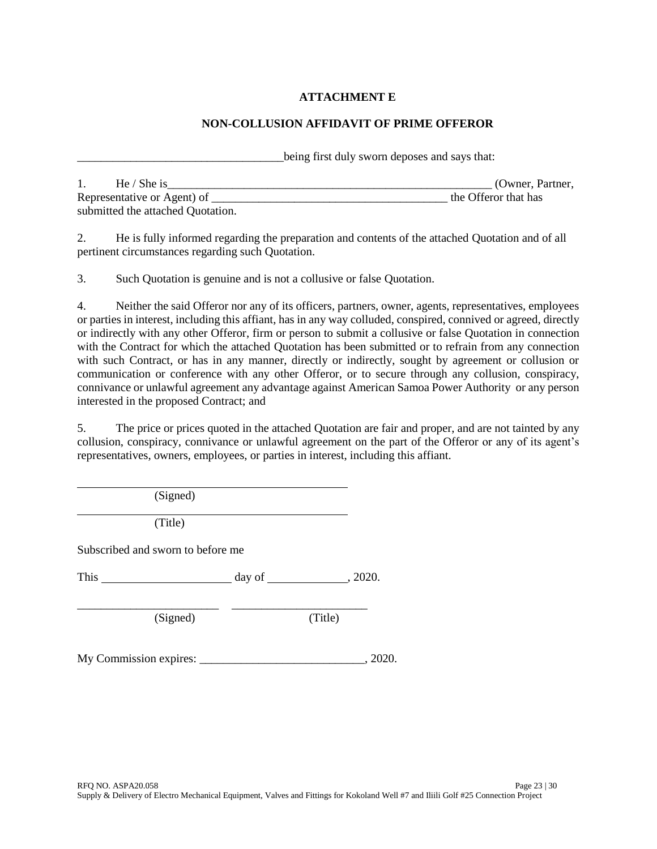## **ATTACHMENT E**

## **NON-COLLUSION AFFIDAVIT OF PRIME OFFEROR**

being first duly sworn deposes and says that:

| He / She is                       | (Owner, Partner,     |
|-----------------------------------|----------------------|
| Representative or Agent) of       | the Offeror that has |
| submitted the attached Quotation. |                      |

2. He is fully informed regarding the preparation and contents of the attached Quotation and of all pertinent circumstances regarding such Quotation.

3. Such Quotation is genuine and is not a collusive or false Quotation.

4. Neither the said Offeror nor any of its officers, partners, owner, agents, representatives, employees or parties in interest, including this affiant, has in any way colluded, conspired, connived or agreed, directly or indirectly with any other Offeror, firm or person to submit a collusive or false Quotation in connection with the Contract for which the attached Quotation has been submitted or to refrain from any connection with such Contract, or has in any manner, directly or indirectly, sought by agreement or collusion or communication or conference with any other Offeror, or to secure through any collusion, conspiracy, connivance or unlawful agreement any advantage against American Samoa Power Authority or any person interested in the proposed Contract; and

5. The price or prices quoted in the attached Quotation are fair and proper, and are not tainted by any collusion, conspiracy, connivance or unlawful agreement on the part of the Offeror or any of its agent's representatives, owners, employees, or parties in interest, including this affiant.

(Signed)

(Title)

Subscribed and sworn to before me

This day of , 2020.

\_\_\_\_\_\_\_\_\_\_\_\_\_\_\_\_\_\_\_\_\_\_\_\_ \_\_\_\_\_\_\_\_\_\_\_\_\_\_\_\_\_\_\_\_\_\_\_

(Signed) (Title)

My Commission expires: \_\_\_\_\_\_\_\_\_\_\_\_\_\_\_\_\_\_\_\_\_\_\_\_\_\_\_\_, 2020.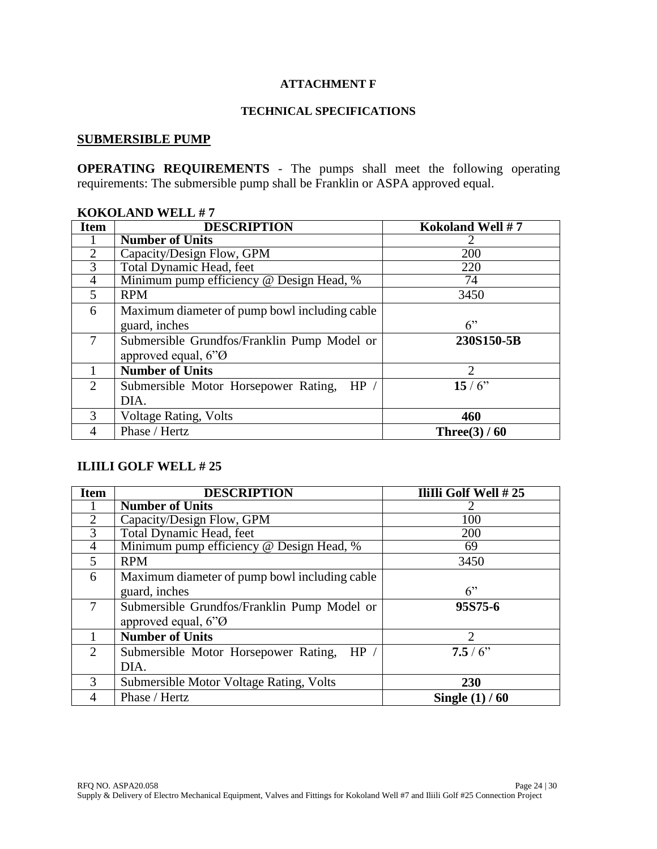## **ATTACHMENT F**

#### **TECHNICAL SPECIFICATIONS**

# **SUBMERSIBLE PUMP**

**OPERATING REQUIREMENTS** - The pumps shall meet the following operating requirements: The submersible pump shall be Franklin or ASPA approved equal.

| момодимо п <i>е</i> шти |                                               |                  |  |  |  |
|-------------------------|-----------------------------------------------|------------------|--|--|--|
| <b>Item</b>             | <b>DESCRIPTION</b>                            | Kokoland Well #7 |  |  |  |
|                         | <b>Number of Units</b>                        | 2                |  |  |  |
| $\overline{2}$          | Capacity/Design Flow, GPM                     | 200              |  |  |  |
| 3                       | Total Dynamic Head, feet                      | 220              |  |  |  |
| $\overline{4}$          | Minimum pump efficiency @ Design Head, %      | 74               |  |  |  |
| 5                       | <b>RPM</b>                                    | 3450             |  |  |  |
| 6                       | Maximum diameter of pump bowl including cable |                  |  |  |  |
|                         | guard, inches                                 | 6                |  |  |  |
| $\tau$                  | Submersible Grundfos/Franklin Pump Model or   | 230S150-5B       |  |  |  |
|                         | approved equal, 6"Ø                           |                  |  |  |  |
|                         | <b>Number of Units</b>                        | 2                |  |  |  |
| $\overline{2}$          | HP /<br>Submersible Motor Horsepower Rating,  | 15/6             |  |  |  |
|                         | DIA.                                          |                  |  |  |  |
| 3                       | <b>Voltage Rating, Volts</b>                  | 460              |  |  |  |
| 4                       | Phase / Hertz                                 | Three $(3)$ / 60 |  |  |  |

### **KOKOLAND WELL # 7**

### **ILIILI GOLF WELL # 25**

| <b>Item</b>    | <b>DESCRIPTION</b>                            | IliIli Golf Well #25 |
|----------------|-----------------------------------------------|----------------------|
|                | <b>Number of Units</b>                        |                      |
| $\overline{2}$ | Capacity/Design Flow, GPM                     | 100                  |
| 3              | Total Dynamic Head, feet                      | 200                  |
| $\overline{4}$ | Minimum pump efficiency @ Design Head, %      | 69                   |
| 5              | <b>RPM</b>                                    | 3450                 |
| 6              | Maximum diameter of pump bowl including cable |                      |
|                | guard, inches                                 | 6                    |
| 7              | Submersible Grundfos/Franklin Pump Model or   | 95S75-6              |
|                | approved equal, 6"Ø                           |                      |
|                | <b>Number of Units</b>                        | $\mathfrak{D}$       |
| 2              | Submersible Motor Horsepower Rating,<br>HP /  | 7.5/6                |
|                | DIA.                                          |                      |
| 3              | Submersible Motor Voltage Rating, Volts       | 230                  |
| 4              | Phase / Hertz                                 | Single $(1)$ / 60    |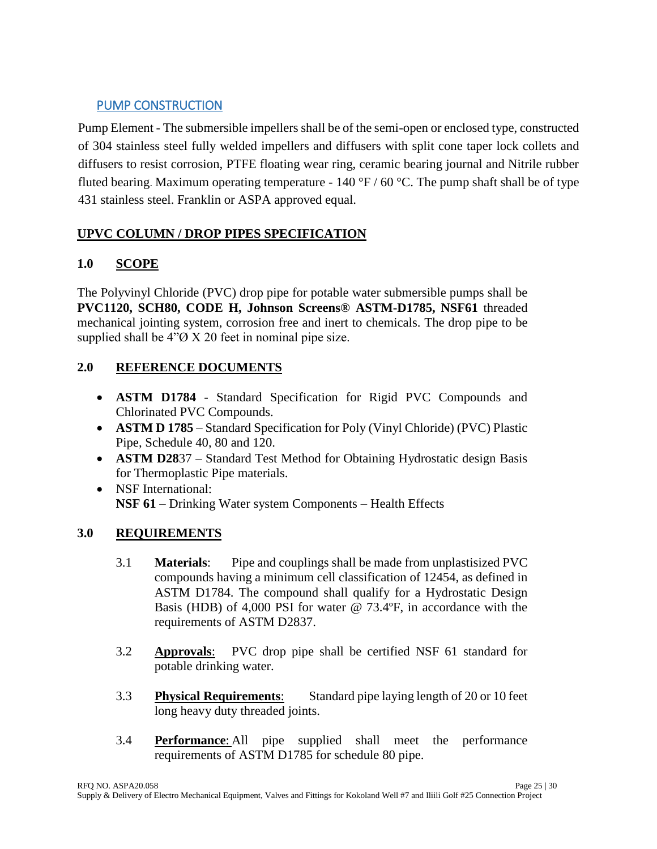# PUMP CONSTRUCTION

Pump Element - The submersible impellers shall be of the semi-open or enclosed type, constructed of 304 stainless steel fully welded impellers and diffusers with split cone taper lock collets and diffusers to resist corrosion, PTFE floating wear ring, ceramic bearing journal and Nitrile rubber fluted bearing. Maximum operating temperature - 140  $\rm{°F}$  / 60  $\rm{°C}$ . The pump shaft shall be of type 431 stainless steel. Franklin or ASPA approved equal.

# **UPVC COLUMN / DROP PIPES SPECIFICATION**

# **1.0 SCOPE**

The Polyvinyl Chloride (PVC) drop pipe for potable water submersible pumps shall be **PVC1120, SCH80, CODE H, Johnson Screens® ASTM-D1785, NSF61** threaded mechanical jointing system, corrosion free and inert to chemicals. The drop pipe to be supplied shall be  $4\degree$ O X 20 feet in nominal pipe size.

# **2.0 REFERENCE DOCUMENTS**

- **ASTM D1784** Standard Specification for Rigid PVC Compounds and Chlorinated PVC Compounds.
- **ASTM D 1785** Standard Specification for Poly (Vinyl Chloride) (PVC) Plastic Pipe, Schedule 40, 80 and 120.
- **ASTM D28**37 Standard Test Method for Obtaining Hydrostatic design Basis for Thermoplastic Pipe materials.
- NSF International: **NSF 61** – Drinking Water system Components – Health Effects

# **3.0 REQUIREMENTS**

- 3.1 **Materials**: Pipe and couplings shall be made from unplastisized PVC compounds having a minimum cell classification of 12454, as defined in ASTM D1784. The compound shall qualify for a Hydrostatic Design Basis (HDB) of 4,000 PSI for water @ 73.4ºF, in accordance with the requirements of ASTM D2837.
- 3.2 **Approvals**: PVC drop pipe shall be certified NSF 61 standard for potable drinking water.
- 3.3 **Physical Requirements**: Standard pipe laying length of 20 or 10 feet long heavy duty threaded joints.
- 3.4 **Performance**: All pipe supplied shall meet the performance requirements of ASTM D1785 for schedule 80 pipe.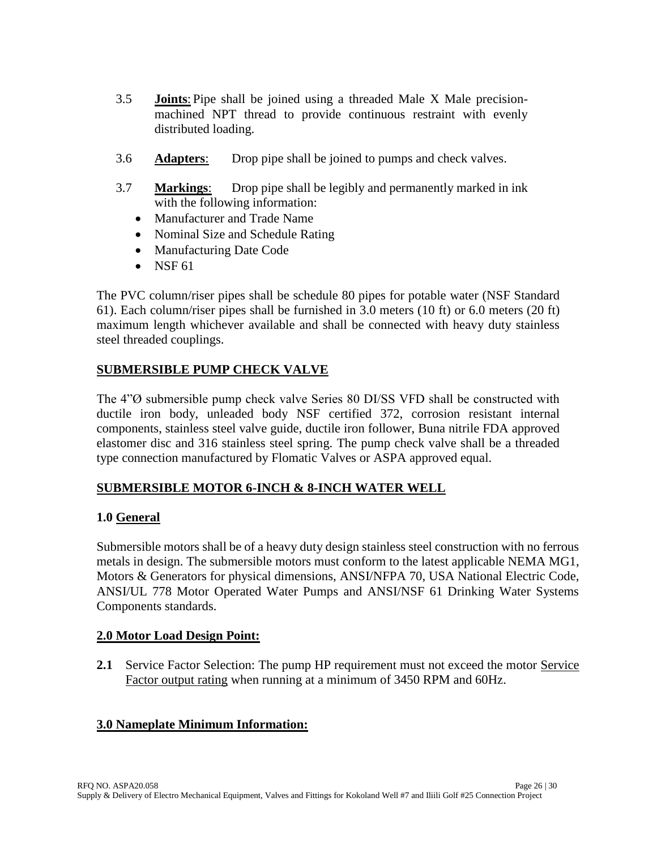- 3.5 **Joints**: Pipe shall be joined using a threaded Male X Male precisionmachined NPT thread to provide continuous restraint with evenly distributed loading.
- 3.6 **Adapters**: Drop pipe shall be joined to pumps and check valves.
- 3.7 **Markings**: Drop pipe shall be legibly and permanently marked in ink with the following information:
	- Manufacturer and Trade Name
	- Nominal Size and Schedule Rating
	- Manufacturing Date Code
	- $\bullet$  NSF 61

The PVC column/riser pipes shall be schedule 80 pipes for potable water (NSF Standard 61). Each column/riser pipes shall be furnished in 3.0 meters (10 ft) or 6.0 meters (20 ft) maximum length whichever available and shall be connected with heavy duty stainless steel threaded couplings.

# **SUBMERSIBLE PUMP CHECK VALVE**

The 4"<sup>O</sup> submersible pump check valve Series 80 DI/SS VFD shall be constructed with ductile iron body, unleaded body NSF certified 372, corrosion resistant internal components, stainless steel valve guide, ductile iron follower, Buna nitrile FDA approved elastomer disc and 316 stainless steel spring. The pump check valve shall be a threaded type connection manufactured by Flomatic Valves or ASPA approved equal.

# **SUBMERSIBLE MOTOR 6-INCH & 8-INCH WATER WELL**

# **1.0 General**

Submersible motors shall be of a heavy duty design stainless steel construction with no ferrous metals in design. The submersible motors must conform to the latest applicable NEMA MG1, Motors & Generators for physical dimensions, ANSI/NFPA 70, USA National Electric Code, ANSI/UL 778 Motor Operated Water Pumps and ANSI/NSF 61 Drinking Water Systems Components standards.

## **2.0 Motor Load Design Point:**

**2.1** Service Factor Selection: The pump HP requirement must not exceed the motor Service Factor output rating when running at a minimum of 3450 RPM and 60Hz.

# **3.0 Nameplate Minimum Information:**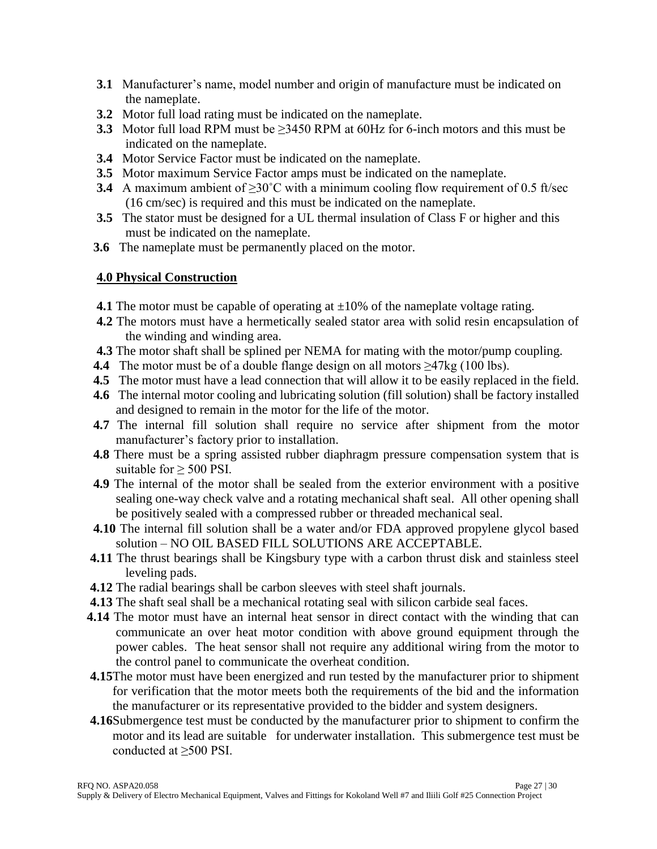- **3.1** Manufacturer's name, model number and origin of manufacture must be indicated on the nameplate.
- **3.2** Motor full load rating must be indicated on the nameplate.
- **3.3** Motor full load RPM must be ≥3450 RPM at 60Hz for 6-inch motors and this must be indicated on the nameplate.
- **3.4** Motor Service Factor must be indicated on the nameplate.
- **3.5** Motor maximum Service Factor amps must be indicated on the nameplate.
- **3.4** A maximum ambient of  $\geq 30^{\circ}$ C with a minimum cooling flow requirement of 0.5 ft/sec (16 cm/sec) is required and this must be indicated on the nameplate.
- **3.5** The stator must be designed for a UL thermal insulation of Class F or higher and this must be indicated on the nameplate.
- **3.6** The nameplate must be permanently placed on the motor.

# **4.0 Physical Construction**

- **4.1** The motor must be capable of operating at  $\pm 10\%$  of the nameplate voltage rating.
- **4.2** The motors must have a hermetically sealed stator area with solid resin encapsulation of the winding and winding area.
- **4.3** The motor shaft shall be splined per NEMA for mating with the motor/pump coupling.
- **4.4** The motor must be of a double flange design on all motors  $\geq$ 47kg (100 lbs).
- **4.5** The motor must have a lead connection that will allow it to be easily replaced in the field.
- **4.6** The internal motor cooling and lubricating solution (fill solution) shall be factory installed and designed to remain in the motor for the life of the motor.
- **4.7** The internal fill solution shall require no service after shipment from the motor manufacturer's factory prior to installation.
- **4.8** There must be a spring assisted rubber diaphragm pressure compensation system that is suitable for  $>$  500 PSI.
- **4.9** The internal of the motor shall be sealed from the exterior environment with a positive sealing one-way check valve and a rotating mechanical shaft seal. All other opening shall be positively sealed with a compressed rubber or threaded mechanical seal.
- **4.10** The internal fill solution shall be a water and/or FDA approved propylene glycol based solution – NO OIL BASED FILL SOLUTIONS ARE ACCEPTABLE.
- **4.11** The thrust bearings shall be Kingsbury type with a carbon thrust disk and stainless steel leveling pads.
- **4.12** The radial bearings shall be carbon sleeves with steel shaft journals.
- **4.13** The shaft seal shall be a mechanical rotating seal with silicon carbide seal faces.
- **4.14** The motor must have an internal heat sensor in direct contact with the winding that can communicate an over heat motor condition with above ground equipment through the power cables. The heat sensor shall not require any additional wiring from the motor to the control panel to communicate the overheat condition.
- **4.15**The motor must have been energized and run tested by the manufacturer prior to shipment for verification that the motor meets both the requirements of the bid and the information the manufacturer or its representative provided to the bidder and system designers.
- **4.16**Submergence test must be conducted by the manufacturer prior to shipment to confirm the motor and its lead are suitable for underwater installation. This submergence test must be conducted at ≥500 PSI.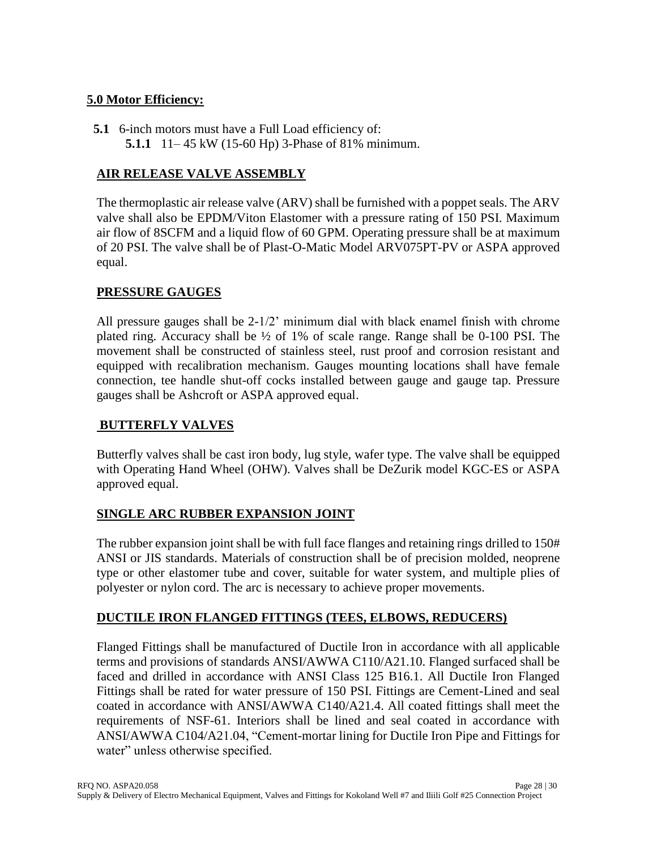# **5.0 Motor Efficiency:**

**5.1** 6-inch motors must have a Full Load efficiency of: **5.1.1** 11– 45 kW (15-60 Hp) 3-Phase of 81% minimum.

# **AIR RELEASE VALVE ASSEMBLY**

The thermoplastic air release valve (ARV) shall be furnished with a poppet seals. The ARV valve shall also be EPDM/Viton Elastomer with a pressure rating of 150 PSI. Maximum air flow of 8SCFM and a liquid flow of 60 GPM. Operating pressure shall be at maximum of 20 PSI. The valve shall be of Plast-O-Matic Model ARV075PT-PV or ASPA approved equal.

# **PRESSURE GAUGES**

All pressure gauges shall be 2-1/2' minimum dial with black enamel finish with chrome plated ring. Accuracy shall be ½ of 1% of scale range. Range shall be 0-100 PSI. The movement shall be constructed of stainless steel, rust proof and corrosion resistant and equipped with recalibration mechanism. Gauges mounting locations shall have female connection, tee handle shut-off cocks installed between gauge and gauge tap. Pressure gauges shall be Ashcroft or ASPA approved equal.

# **BUTTERFLY VALVES**

Butterfly valves shall be cast iron body, lug style, wafer type. The valve shall be equipped with Operating Hand Wheel (OHW). Valves shall be DeZurik model KGC-ES or ASPA approved equal.

# **SINGLE ARC RUBBER EXPANSION JOINT**

The rubber expansion joint shall be with full face flanges and retaining rings drilled to 150# ANSI or JIS standards. Materials of construction shall be of precision molded, neoprene type or other elastomer tube and cover, suitable for water system, and multiple plies of polyester or nylon cord. The arc is necessary to achieve proper movements.

# **DUCTILE IRON FLANGED FITTINGS (TEES, ELBOWS, REDUCERS)**

Flanged Fittings shall be manufactured of Ductile Iron in accordance with all applicable terms and provisions of standards ANSI/AWWA C110/A21.10. Flanged surfaced shall be faced and drilled in accordance with ANSI Class 125 B16.1. All Ductile Iron Flanged Fittings shall be rated for water pressure of 150 PSI. Fittings are Cement-Lined and seal coated in accordance with ANSI/AWWA C140/A21.4. All coated fittings shall meet the requirements of NSF-61. Interiors shall be lined and seal coated in accordance with ANSI/AWWA C104/A21.04, "Cement-mortar lining for Ductile Iron Pipe and Fittings for water" unless otherwise specified.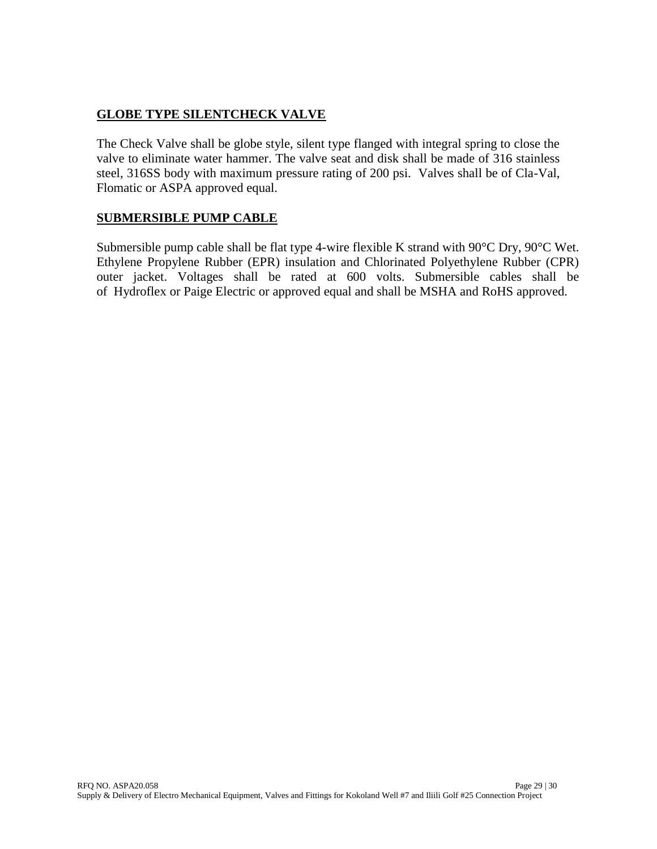# **GLOBE TYPE SILENTCHECK VALVE**

The Check Valve shall be globe style, silent type flanged with integral spring to close the valve to eliminate water hammer. The valve seat and disk shall be made of 316 stainless steel, 316SS body with maximum pressure rating of 200 psi. Valves shall be of Cla-Val, Flomatic or ASPA approved equal.

# **SUBMERSIBLE PUMP CABLE**

Submersible pump cable shall be flat type 4-wire flexible K strand with 90°C Dry, 90°C Wet. Ethylene Propylene Rubber (EPR) insulation and Chlorinated Polyethylene Rubber (CPR) outer jacket. Voltages shall be rated at 600 volts. Submersible cables shall be of Hydroflex or Paige Electric or approved equal and shall be MSHA and RoHS approved.